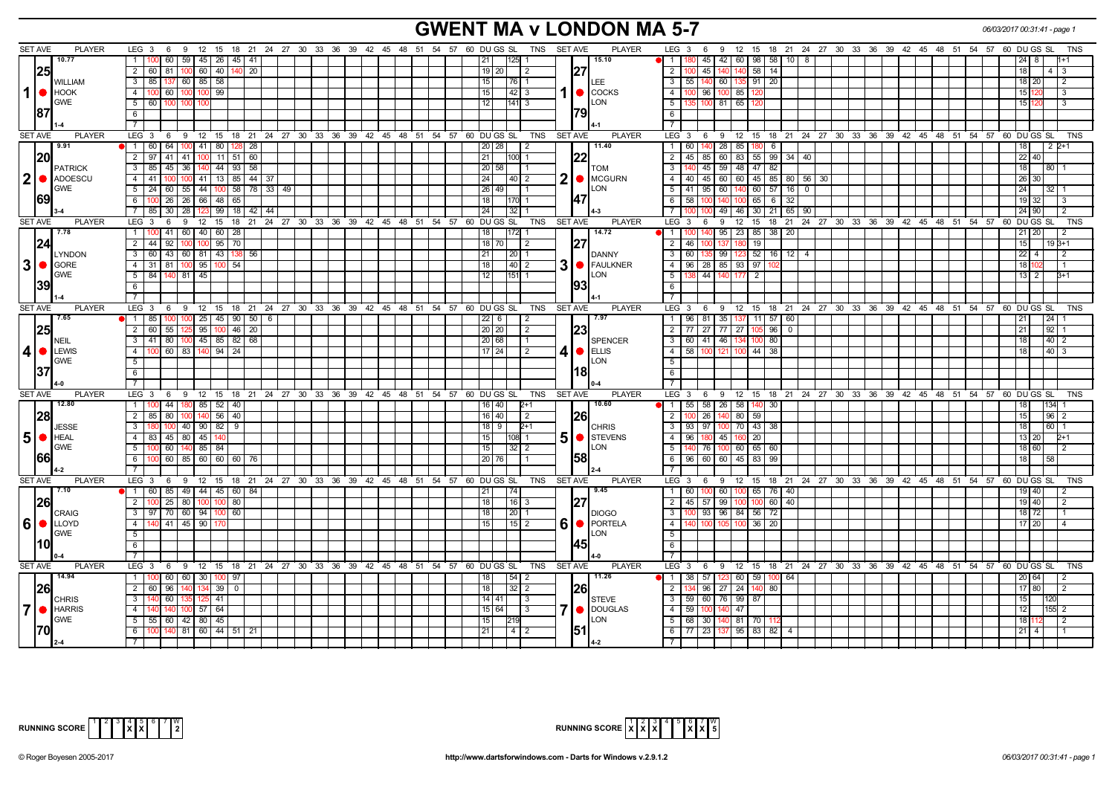# **GWENT MA v LONDON MA 5-7** *06/03/2017 00:31:41 - page 1*

| <b>SET AVE</b><br><b>PLAYER</b> | <b>PLAYER</b><br>LEG 3 6 9 12 15 18 21 24 27 30 33 36 39 42 45 48 51 54 57 60 DUGS SL TNS SETAVE                                              | LEG 3 6 9<br>12 15 18 21 24 27 30 33 36 39 42 45 48 51 54 57 60 DUGS SL<br><b>TNS</b>                        |
|---------------------------------|-----------------------------------------------------------------------------------------------------------------------------------------------|--------------------------------------------------------------------------------------------------------------|
| 10.77                           | 15.10<br>60<br>1<br>125                                                                                                                       | $45 \mid 42 \mid$<br>60 98<br>58<br>$\overline{1}$<br>10 I 8                                                 |
|                                 | 59 45 26 45 41                                                                                                                                |                                                                                                              |
| 25                              | 2   60   81   100   60   40<br>140 20<br>127<br>19   20<br>$\vert$ 2                                                                          | $\overline{2}$<br>45 I<br>140 <sub>l</sub><br>140 58<br>14<br>18 <sup>1</sup><br>4   3                       |
| <b>WILLIAM</b>                  | 3   85   137   60   85   58<br>15<br>76 1<br><b>LEE</b>                                                                                       | 3   55   140   60   135   91   20<br>$\overline{2}$<br>18 20                                                 |
| $1  \bullet  $ $\blacksquare$   | 4   100   60   100   100   99<br>15 <sub>l</sub><br>$42 \mid 3$                                                                               | $\overline{4}$<br>96 100 85 120<br>15 <sup>1</sup><br>l 3                                                    |
| <b>GWE</b>                      | <b>LON</b><br>5   60   100<br>12<br>$141 \overline{\smash{3}}$                                                                                | 5<br>$100$ 81<br>65<br>15<br>IЗ                                                                              |
| 187                             | 791<br>6                                                                                                                                      | 6                                                                                                            |
|                                 |                                                                                                                                               | $\overline{7}$                                                                                               |
| <b>PLAYER</b><br>SET AVE        | LEG 3 6 9 12 15 18 21 24 27 30 33 36 39 42 45 48 51 54 57 60 DUGS SL TNS SETAVE<br><b>PLAYER</b>                                              | 12 15 18 21 24 27 30 33 36 39 42 45 48 51 54 57 60 DUGS SL<br><b>TNS</b><br>LEG 3 6 9                        |
| 9.91                            | 11.40<br>$\Box$<br>60 64<br>100 41 80 128 28<br>20 28<br>$\sqrt{2}$                                                                           | $\overline{1}$<br>140 28<br>85 180 <br>6<br>$122+1$<br>60<br>18                                              |
| 20                              | 2   97   41<br>41 100 11 51 60<br>21<br>122<br>100 1                                                                                          | 83 55 99 34 40<br>$\overline{2}$<br>$-45$<br>85 60<br>22 40                                                  |
|                                 | 20 58<br>3<br>85<br>45<br>36 140 44 93 58                                                                                                     | 45 59 48 47<br>82<br>$\overline{3}$<br>18<br>I 80 I 1                                                        |
| <b>PATRICK</b>                  | <b>TOM</b><br><b>MCGURN</b><br>41<br>100 41   13   85   44   37<br>24<br>4<br>40 2                                                            | 40 45 60 60 45 85 80 56<br>$\overline{4}$<br>30<br>26                                                        |
| 2 <b>ADOESCU</b><br><b>GWE</b>  | 2<br><b>ILON</b>                                                                                                                              |                                                                                                              |
|                                 | $5 \vert$<br>24<br>$55$ 44<br>58 78 33<br>60<br>26   49<br>-49  <br>100                                                                       | 5<br>$95 \ 60$<br>$140$ 60 57<br>41<br>16<br>$\Omega$<br>24 I<br>l 32 l 1                                    |
| 69                              | 147<br>$100$ 26<br>26 66 48 65<br>6 I<br>18<br>170                                                                                            | 6<br>58<br>$100$ 65<br>100 140<br>6<br>32<br>19                                                              |
|                                 | $85 \mid 30$<br>28<br>99<br>$18 \mid 42$<br>24<br>44                                                                                          | 49<br>46 30<br>21<br>65   90<br>24                                                                           |
| <b>SET AVE</b><br><b>PLAYER</b> | <b>PLAYER</b><br>$LEG_3$<br>$18$ 21<br>24 27 30 33 36 39 42 45 48 51<br>54 57<br>60 DU GS SL<br><b>TNS</b><br><b>SET AVE</b><br>9<br>12<br>15 | $LEG \ 3$<br>12<br>21 24 27 30 33 36 39 42 45 48 51 54 57<br>60 DU GS SL<br><b>TNS</b><br>9<br>15<br>18<br>6 |
| 7.78                            | 60 40 60<br>14.72<br>1   100   41<br>28<br>172                                                                                                | $\mathbf{1}$<br>95<br>23   85  <br>38<br>-20                                                                 |
| 24                              | 95<br>$\overline{2}$<br>44<br>92<br>$100 \,$<br>70<br>$18$ 70<br>2                                                                            | $\overline{2}$<br>46<br>19<br>15 <sup>1</sup><br>$19B+1$                                                     |
| <b>LYNDON</b>                   | 60   43   60   81   43   138   56<br>21<br>- 3 - I<br>  20   1<br>DANNY                                                                       | $123$ 52 16 12 4<br>$\overline{\mathbf{3}}$<br>60<br>35 99<br>22 I<br>4<br>I 2                               |
| $3  \bullet  $ GORE             | 3<br>FAULKNER<br>4 31 81 100 95 100<br>54<br>18 <sup>1</sup><br>$40 \quad 2$                                                                  | 96   28   85   93   97<br>$\overline{4}$<br>18 F                                                             |
| <b>GWE</b>                      | <b>ILON</b><br>84<br>81 45<br>51<br>140<br>12<br>151                                                                                          | 5<br>44<br>140<br>2<br>$B+1$<br>13 <sup>1</sup><br>2                                                         |
| 39                              | 6                                                                                                                                             | $6\overline{6}$                                                                                              |
|                                 |                                                                                                                                               | $\overline{7}$                                                                                               |
| <b>SET AVE</b><br><b>PLAYER</b> | LEG $3 \t6$<br>9 12 15 18 21 24 27 30 33 36 39 42 45 48 51 54 57 60 DUGS SL TNS SETAVE<br><b>PLAYER</b>                                       | $LEG \ 3$<br>6 9 12 15 18 21 24 27 30 33 36 39 42 45 48 51 54 57 60 DUGS SL<br>TNS                           |
| 7.65                            | 7.97                                                                                                                                          |                                                                                                              |
|                                 | 185<br>$100$ 25 45 90 50 6<br>$22$ 6<br>$\overline{2}$                                                                                        | 96 81 35 137 11 57<br> 24 <br>$\overline{1}$<br>60<br>21                                                     |
| 25                              | 2 60 55 125 95 100<br>$146$ 20<br> 23 <br>20 20<br>$\vert 2 \vert$                                                                            | 2   77   27   77   27   105   96   0<br> 92 1<br>  21                                                        |
| <b>NEIL</b>                     | $100 \mid 45 \mid 85 \mid 82 \mid 68$<br>3   41   80<br>20 68<br><b>SPENCER</b><br>$\mathbf{1}$                                               | $\overline{\mathbf{3}}$<br>60 41 46 134<br>100 80<br>$40$   2<br>18 <sup>1</sup>                             |
| $4 • $ LEWIS                    | 100 60 83 140 94 24<br>$17$ 24<br>4<br>$\bigcirc$ ELLIS<br>4 I<br>$\sqrt{2}$                                                                  | $\overline{4}$<br>58<br>$44 \overline{38}$<br> 40 3<br>100 121<br>18<br>100                                  |
| <b>GWE</b>                      | <b>LON</b><br>5 <sup>1</sup>                                                                                                                  | 5                                                                                                            |
| 37                              | 181<br>6                                                                                                                                      | 6                                                                                                            |
|                                 |                                                                                                                                               |                                                                                                              |
| <b>SET AVE</b><br><b>PLAYER</b> | LEG 3 6 9 12 15 18 21 24 27 30 33 36 39 42 45 48 51 54 57 60 DUGS SL<br>TNS<br>SET AVE<br><b>PLAYER</b>                                       | LEG <sub>3</sub><br>6 9 12 15 18 21 24 27 30 33 36 39 42 45 48 51 54 57 60 DUGS SL<br><b>TNS</b>             |
| 12.80                           | $100$ 44<br>180 85 52 40<br>10.60<br>-1 L<br>16   40<br>$2+1$                                                                                 | 55   58   26   58   140   30  <br>$134$ 1<br>l 1<br>18                                                       |
| 28                              | $\sqrt{80}$<br>$100$ 140 56<br>16 40<br>2   85  <br> 40 <br>$\sqrt{2}$<br><b>1261</b>                                                         | $\overline{2}$<br>26<br>$140$ 80 59<br>15<br> 96 2                                                           |
| <b>JESSE</b>                    | $40$ 90 82<br>$18$   9<br>$\overline{\phantom{a}3}$<br>9<br>$2+1$<br>180<br>1100<br><b>CHRIS</b>                                              | 93 97 100 70 43 38<br>16011<br>$\overline{\mathbf{3}}$<br>  18                                               |
| $5$ $\bullet$ HEAL              | 5<br>STEVENS<br>4   83   45   80   45  <br>15<br>108 1                                                                                        | $\overline{4}$<br>180 45<br>96<br>160 20<br>$2+1$<br>13 20                                                   |
| <b>GWE</b>                      | <b>ILON</b><br>$5 \vert$<br>$\sqrt{60}$<br>140 85 84<br>100<br>15<br>32 I 2                                                                   | $\overline{5}$<br>76 100 60 65 60<br>18 60<br>l 2                                                            |
| 66                              | I58I<br>100 60 85 60 60 60 76<br>20 76<br>6                                                                                                   | 6<br>96 60 60 45 83 99<br>18<br>58                                                                           |
|                                 |                                                                                                                                               | $\overline{7}$                                                                                               |
| <b>SET AVE</b><br><b>PLAYER</b> | <b>PLAYER</b><br>$LEG_3$ 6<br>9 12 15 18 21 24 27 30 33 36 39 42 45 48 51 54 57 60 DUGS SL<br>TNS<br><b>SET AVE</b>                           | 9 12 15 18 21 24 27 30 33 36 39 42 45 48 51 54 57 60 DUGS SL<br>$LEG_36$<br><b>TNS</b>                       |
| 7.10                            | $\sqrt{1}$<br>60 85<br>49 44 45 60 84<br>9.45<br>21<br>74                                                                                     | $\overline{1}$<br>100 60<br>$100$ 65 76<br>60 I<br>40<br>19 I                                                |
| 26                              | $100$   25<br>18<br>$16 \mid 3$<br>$\overline{2}$<br>80 100<br>80                                                                             | 45 57 99<br>60<br>$\overline{2}$<br>40<br>100 <sup>1</sup><br>19 40<br>$\overline{2}$<br>1001                |
|                                 | 3   97   70   60   94   100<br>60<br>18<br>20 <sub>1</sub>                                                                                    | $\overline{3}$<br>93 96 84 56 72<br>18   72                                                                  |
| <b>CRAIG</b>                    | <b>DIOGO</b>                                                                                                                                  |                                                                                                              |
| 6   LLOYD                       | 6<br>PORTELA<br>4   140   41   45   90   17<br>15<br>$15$ 2                                                                                   | $\overline{4}$<br>100 105 100 36 20<br>17 20                                                                 |
| <b>GWE</b>                      | <b>LON</b><br>$5-1$                                                                                                                           | $\overline{5}$                                                                                               |
| l10l                            |                                                                                                                                               | 6                                                                                                            |
|                                 |                                                                                                                                               | $\overline{7}$                                                                                               |
| <b>SET AVE</b><br><b>PLAYER</b> | LEG $3 \t6$<br>9 12 15 18 21 24 27 30 33 36 39 42 45 48 51 54 57 60 DUGS SL TNS<br><b>SET AVE</b><br>PLAYER                                   | $LEG \ 3$<br>12 15 18 21 24 27 30 33 36 39 42 45 48 51 54 57 60 DUGS SL<br><b>TNS</b><br>- 9<br>6            |
| 14.94                           | 11.26<br>100 60 60 30 100<br>$54 \mid 2$<br>1<br>97<br>18                                                                                     | $38$ 57 123<br>60   59<br>$\overline{1}$<br>64<br>20 64<br>100                                               |
| 26                              | 2 I<br>60<br>96<br>39<br>$\Omega$<br>18<br>$32$   2<br>I26I                                                                                   | 96 27<br>2<br>24<br>80<br>17 <sup>1</sup><br>40                                                              |
| <b>CHRIS</b>                    | $ 25 $ 41<br>3   140<br>60<br>$14$ 41<br>3<br><b>STEVE</b>                                                                                    | 59 60 76 99 87<br>$\overline{\mathbf{3}}$<br>15 <sup>1</sup>                                                 |
| 7 <b>I</b> HARRIS               | <b>DOUGLAS</b><br>$57$ 64<br>15 64<br>4 I<br>  3<br>140<br>14                                                                                 | $\overline{4}$<br>59<br>100 I<br>47<br>12 <sub>12</sub><br>155 2<br>140                                      |
| <b>GWE</b>                      | <b>LON</b><br>5   55   60<br>42 80 45<br>15                                                                                                   | $5\overline{)}$<br>68 30<br>81 70<br>18 <sup>1</sup><br>$\overline{2}$                                       |
| 1701                            | 1511<br>$6$ 100 140<br>81 60 44 51 21<br>21<br>$4 \mid 2$                                                                                     | 6   77   23   137   95   83   82   4  <br>$21$   4                                                           |
|                                 |                                                                                                                                               |                                                                                                              |



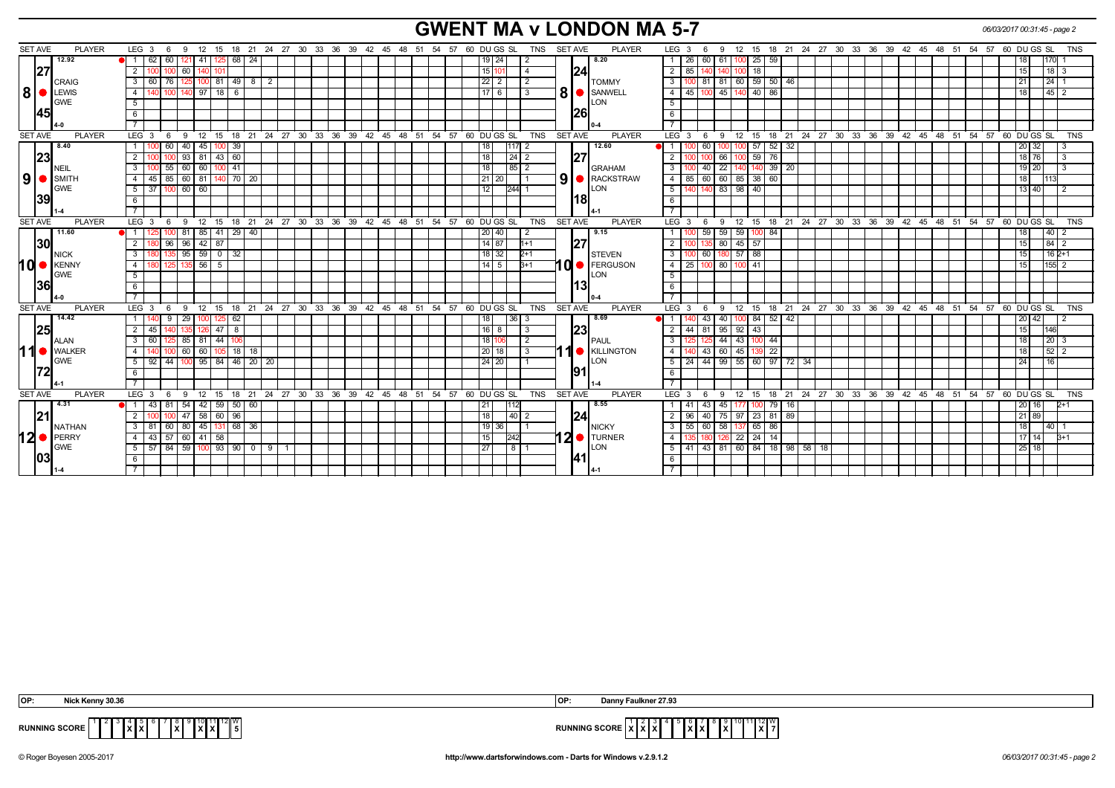# **GWENT MA v LONDON MA 5-7** *06/03/2017 00:31:45 - page 2*

| <b>SET AVE</b> | <b>PLAYER</b>        | LEG $3 \quad 6$                     | 9 12 15 18 21 24 27 30 33 36 39 42 45 48 51 54 57 60 DUGS SL TNS |    |  |                                                      |  |                 |                    |                |   | SET AVE<br><b>PLAYER</b>        | LEG 3<br>9<br>- 6                                                                 |                 |                             |  | 12 15 18 21 24 27 30 33 36 39 42 45 48 51 54 57 60 DUGS SL |  |  |                 | <b>TNS</b>         |
|----------------|----------------------|-------------------------------------|------------------------------------------------------------------|----|--|------------------------------------------------------|--|-----------------|--------------------|----------------|---|---------------------------------|-----------------------------------------------------------------------------------|-----------------|-----------------------------|--|------------------------------------------------------------|--|--|-----------------|--------------------|
|                | 12.92                | 62<br>l 1 I<br>60                   | 68   24<br>121 41<br>125                                         |    |  |                                                      |  |                 | $19$   24          | $\overline{2}$ |   | 8.20                            | 60 61<br>26 I<br>$\mathbf{1}$                                                     | $100$ 25 59     |                             |  |                                                            |  |  | 18              | $170$ 1            |
| 27             |                      | 2 <sup>1</sup><br>60<br><b>1001</b> |                                                                  |    |  |                                                      |  |                 | 15 10              | $\overline{4}$ |   | 24                              | $\overline{2}$<br>85                                                              | 18              |                             |  |                                                            |  |  | 15              | $118$ 3            |
|                | CRAIG                | 3 60 76 1                           | $125$ 100 81 49 8 2                                              |    |  |                                                      |  |                 | $\sqrt{22}$ 2      | $\sqrt{2}$     |   | <b>TOMMY</b>                    | 81 81 60 59 50 46<br>$\mathbf{3}$                                                 |                 |                             |  |                                                            |  |  | l 21 I          | 24 1               |
| 8 ·            | <b>LEWIS</b>         | 140<br>4 I                          | 140 97<br> 18 <br>$\overline{6}$                                 |    |  |                                                      |  |                 | $17$ 6             | -3             | 8 | SANWELL                         | 45   100   45   140   40   86<br>$\overline{4}$                                   |                 |                             |  |                                                            |  |  | 18              | $\sqrt{45}$ 2      |
|                | GWE                  | 5                                   |                                                                  |    |  |                                                      |  |                 |                    |                |   | LON                             | 5                                                                                 |                 |                             |  |                                                            |  |  |                 |                    |
| 145            |                      | 6                                   |                                                                  |    |  |                                                      |  |                 |                    |                |   | 1261                            | $6\overline{6}$                                                                   |                 |                             |  |                                                            |  |  |                 |                    |
|                |                      |                                     |                                                                  |    |  |                                                      |  |                 |                    |                |   |                                 |                                                                                   |                 |                             |  |                                                            |  |  |                 |                    |
| <b>SET AVE</b> | <b>PLAYER</b>        | LEG $3 \quad 6$                     | 9 12 15 18 21 24 27 30 33 36 39 42 45 48 51 54 57 60 DUGS SL     |    |  |                                                      |  |                 |                    | <b>TNS</b>     |   | SET AVE<br><b>PLAYER</b>        | 6 9 12 15 18 21 24 27 30 33 36 39 42 45 48 51 54 57 60 DUGS SL<br>$LEG^{\cdot}$ 3 |                 |                             |  |                                                            |  |  |                 | <b>TNS</b>         |
|                | 8.40                 | 1 100 60                            | $140$ 45 100<br>  39                                             |    |  |                                                      |  | 18              |                    | -2             |   | 12.60                           | 100 100 57 52 32<br>$\blacksquare$<br>60                                          |                 |                             |  |                                                            |  |  | 20 32           |                    |
| 23             |                      | 2 <sup>1</sup>                      | $93$ 81 43 60                                                    |    |  |                                                      |  | $\overline{18}$ |                    | $24 \mid 2$    |   | 127                             | $100$ 59 $76$<br>2<br>66                                                          |                 |                             |  |                                                            |  |  | 18 76           | IЗ                 |
|                | NEIL                 | 55<br>60 60<br>3<br>100             | 41                                                               |    |  |                                                      |  | $\overline{18}$ | 85                 |                |   | <b>GRAHAM</b>                   | $40$   22<br>3                                                                    | 140 39 20       |                             |  |                                                            |  |  | 19 20           |                    |
|                | $9$ $\bullet$ SMITH  | 4 45 85 60 81 140 70 20             |                                                                  |    |  |                                                      |  |                 | 21 20              |                |   | 9 <b>B</b> RACKSTRAW            | 85 60 60 85 38 60<br>$\overline{4}$                                               |                 |                             |  |                                                            |  |  | 18              | 1113               |
|                | <b>GWE</b>           | 60 60<br>$5 \mid 37 \mid$<br>l 100  |                                                                  |    |  |                                                      |  | 12              |                    | $244$ 1        |   | LON                             | 140 83 98 40<br>5                                                                 |                 |                             |  |                                                            |  |  | 13 40           |                    |
| 39             |                      | 6                                   |                                                                  |    |  |                                                      |  |                 |                    |                |   | 1181                            | 6                                                                                 |                 |                             |  |                                                            |  |  |                 |                    |
|                |                      |                                     |                                                                  |    |  |                                                      |  |                 |                    |                |   |                                 | $\overline{7}$                                                                    |                 |                             |  |                                                            |  |  |                 |                    |
| <b>SET AVE</b> | <b>PLAYER</b>        | LEG $3 \quad 6$                     | 9 12 15 18 21 24 27 30 33 36 39 42 45 48 51 54 57                |    |  |                                                      |  | 60 DU GS SL     |                    | <b>TNS</b>     |   | <b>SET AVE</b><br><b>PLAYER</b> | LEG <sub>3</sub><br>- 9<br>- 6                                                    |                 |                             |  | 12 15 18 21 24 27 30 33 36 39 42 45 48 51 54 57            |  |  | 60 DU GS SL     | <b>TNS</b>         |
|                | 11.60                | $\overline{1}$                      | 81 85 41<br>  29   40                                            |    |  |                                                      |  |                 | 20   40            |                |   | 9.15                            | 59<br>$\sqrt{59}$<br>59                                                           | $100$ 84        |                             |  |                                                            |  |  | 18              | 40 2               |
| 30             |                      | 180 96<br>2 I                       | $96$ 42 87                                                       |    |  |                                                      |  |                 | $\overline{14}$ 87 | $1 + 1$        |   | 127                             | 135 80 45 57<br>$\overline{2}$                                                    |                 |                             |  |                                                            |  |  | 15              | $\sqrt{84}$ 2      |
|                | NICK                 | 3 I                                 | $95$ 59 0 32                                                     |    |  |                                                      |  |                 | $18$ 32            | $2+1$          |   | <b>STEVEN</b>                   | 60 180 57 88<br>$\mathbf{3}$                                                      |                 |                             |  |                                                            |  |  | 15 <sup>1</sup> | $162+1$            |
|                | 10   KENNY           | 4 I<br>180 125                      | $135$ 56 5                                                       |    |  |                                                      |  |                 | $14$ 5             | $3+1$          |   | 10 FERGUSON                     | $\overline{4}$<br>25 100 80 100 41                                                |                 |                             |  |                                                            |  |  | 15              | $ 155 $ 2          |
|                | <b>GWE</b>           | 5 <sup>1</sup>                      |                                                                  |    |  |                                                      |  |                 |                    |                |   | LON                             | 5                                                                                 |                 |                             |  |                                                            |  |  |                 |                    |
| 36             |                      | 6                                   |                                                                  |    |  |                                                      |  |                 |                    |                |   | 13                              | 6                                                                                 |                 |                             |  |                                                            |  |  |                 |                    |
|                |                      |                                     |                                                                  |    |  |                                                      |  |                 |                    |                |   |                                 |                                                                                   |                 |                             |  |                                                            |  |  |                 |                    |
| <b>SET AVE</b> | <b>PLAYER</b>        | LEG <sup>3</sup><br>$9 \t12$<br>6   | ີ 15                                                             |    |  | 18 21 24 27 30 33 36 39 42 45 48 51 54 57 60 DUGS SL |  |                 |                    | TNS            |   | SET AVE<br><b>PLAYER</b>        | 12<br>$LEG^{\cdot}$ 3<br>9<br>6                                                   |                 |                             |  | 15 18 21 24 27 30 33 36 39 42 45 48 51 54 57 60 DUGS SL    |  |  |                 | <b>TNS</b>         |
|                | 14.42                | 29<br>140<br>9                      | 62                                                               |    |  |                                                      |  | 18 <sup>1</sup> |                    | 36 3           |   | 8.69                            | 43   40                                                                           | $100$ 84 52     | 42                          |  |                                                            |  |  | 20   42         |                    |
|                |                      | 45                                  | 100 125                                                          |    |  |                                                      |  |                 |                    | 3              |   |                                 | 44                                                                                |                 |                             |  |                                                            |  |  |                 | 146                |
| 25             |                      |                                     | 47<br>8                                                          |    |  |                                                      |  |                 | $16$   8           |                |   | 23                              | $\overline{2}$<br>95<br>$92 \mid 43$<br>-81                                       |                 |                             |  |                                                            |  |  | 15              |                    |
|                | ALAN                 | 60<br>125                           | 85 81<br> 44                                                     |    |  |                                                      |  |                 | 18 106             | 2              |   | <b>PAUL</b>                     | 44<br>3<br>$143$ 100 44                                                           |                 |                             |  |                                                            |  |  | 18 <sup>1</sup> | $\vert 20 \vert 3$ |
| 11             | <b>O</b> WALKER      | 4                                   | 60 60<br>$18$ 18                                                 |    |  |                                                      |  |                 | $20$ 18            | -3             |   | <b>1</b> KILLINGTON             | $\overline{4}$<br>$60 \mid 45$<br>43 <sup>1</sup>                                 | $\overline{22}$ |                             |  |                                                            |  |  | 18              | 52 2               |
|                | <b>GWE</b>           | -44<br>92<br>5 <sup>1</sup>         | 95<br> 84<br>46 20                                               | 20 |  |                                                      |  |                 | 24 20              |                |   | <b>ILON</b>                     | 5<br>-99<br>55   60   97<br>44<br>24                                              |                 | 72 34                       |  |                                                            |  |  | 24              |                    |
| 72             |                      | 6                                   |                                                                  |    |  |                                                      |  |                 |                    |                |   | 1911                            | 6                                                                                 |                 |                             |  |                                                            |  |  |                 |                    |
|                |                      |                                     |                                                                  |    |  |                                                      |  |                 |                    |                |   |                                 |                                                                                   |                 |                             |  |                                                            |  |  |                 |                    |
| <b>SET AVE</b> | <b>PLAYER</b>        | LEG $3 \t6$                         | 9 12 15 18 21 24 27 30 33 36 39 42 45 48 51 54 57 60 DUGS SL     |    |  |                                                      |  |                 |                    | <b>TNS</b>     |   | SET AVE<br><b>PLAYER</b>        | $LEG^3$ 3<br>9<br>- 6                                                             |                 |                             |  | 12 15 18 21 24 27 30 33 36 39 42 45 48 51 54 57 60 DUGS SL |  |  |                 | <b>TNS</b>         |
|                | 4.31                 | $43 \mid 81$<br>● 1 1<br>54 I       | $42 \mid 59 \mid 50 \mid 60$                                     |    |  |                                                      |  | 21              |                    |                |   | 8.55                            | 45<br>43<br>$\mathbf{1}$<br>-41<br>177 I                                          | 100 79          | - 16                        |  |                                                            |  |  | 20   16         | $D+1$              |
| 21             |                      |                                     | 47 58<br>60 96                                                   |    |  |                                                      |  | 18              |                    | 40 2           |   | 124                             | $\overline{2}$<br>96<br>75 97 23 81<br>40 l                                       |                 | 89                          |  |                                                            |  |  | 21 89           |                    |
|                | <b>NATHAN</b>        | 81<br>60<br>3                       | 80 45<br>68 36<br>131                                            |    |  |                                                      |  |                 | $.19$ 36           |                |   | <b>NICKY</b>                    | 58<br>$\mathbf{3}$<br>55<br>60<br>-137                                            | 86<br>65        |                             |  |                                                            |  |  | 18              | l 40 I 1           |
|                | $12$ $\bullet$ PERRY | 43 57 60 41 58<br>4 I               |                                                                  |    |  |                                                      |  | 15              | 242                |                |   | $ 20$ TURNER                    | $22$   24   14<br>$\overline{4}$<br>126                                           |                 |                             |  |                                                            |  |  | 17 14           | $B+1$              |
|                | <b>GWE</b>           | $5 \mid 57 \mid 84$                 | 59 100 93 90 09                                                  |    |  |                                                      |  | 27              |                    | 8              |   | LON                             | 5<br>41 I<br>43 81                                                                |                 | 60   84   18   98   58   18 |  |                                                            |  |  | 25 18           |                    |
| 03             |                      |                                     |                                                                  |    |  |                                                      |  |                 |                    |                |   | 141I                            | -6                                                                                |                 |                             |  |                                                            |  |  |                 |                    |
|                |                      |                                     |                                                                  |    |  |                                                      |  |                 |                    |                |   |                                 |                                                                                   |                 |                             |  |                                                            |  |  |                 |                    |
|                |                      |                                     |                                                                  |    |  |                                                      |  |                 |                    |                |   |                                 |                                                                                   |                 |                             |  |                                                            |  |  |                 |                    |

**X** 5 **X**

 $\begin{bmatrix} 6 & 7 & 8 & 9 & 10 & 11 & 12 \ & \mathbf{X} & \mathbf{X} & \mathbf{X} \end{bmatrix}$ 

 **OP: Nick Kenny 30.36 OP: Danny Faulkner 27.93**



**RUNNING SCORE** <sup>12</sup>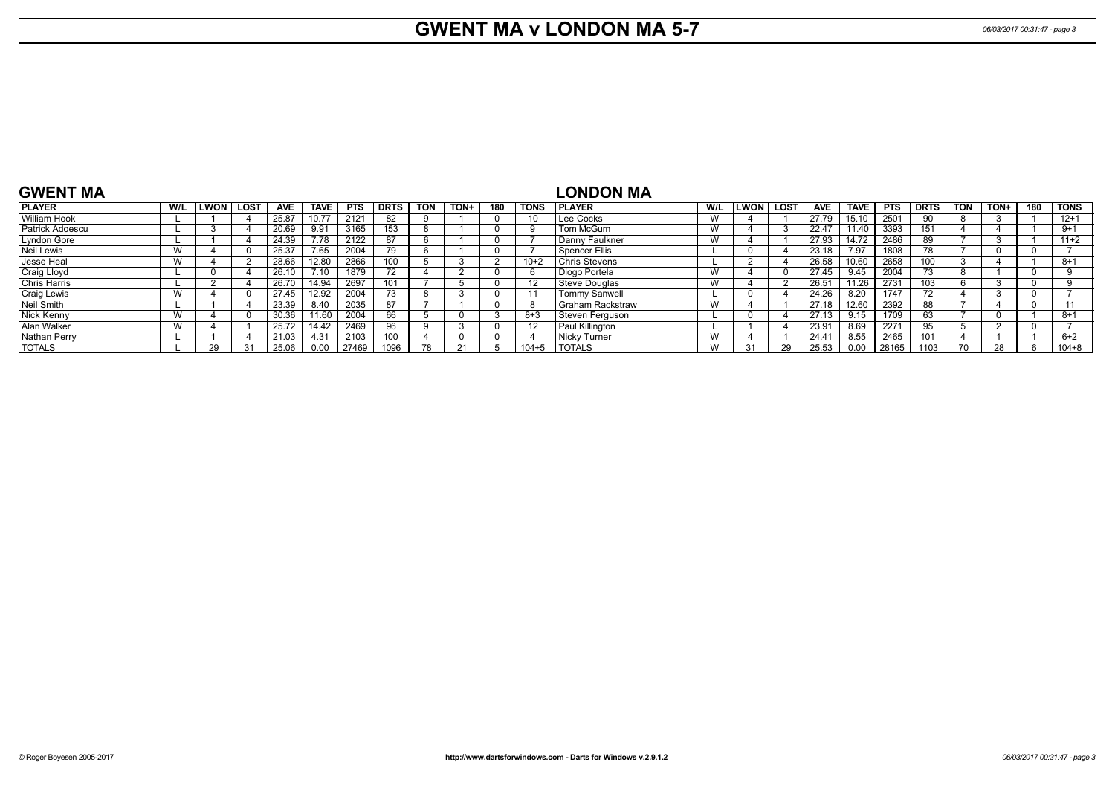#### **GWENT MA v LONDON MA 5-7** *06/03/2017 00:31:47 - page 3*

#### **GWENT MA PLAYER W/L LWON LOST AVE TAVE PTS DRTS TON TON+ 180 TONS** William Hook | L | 1 | 4 | 25.87 | 10.77 | 2121 | 82 | 9 | 1 | 0 | 10 Patrick Adoescu | L | 3 | 4 | 20.69 | 9.91 | 3165 | 153 | 8 | 1 | 0 | 9 Lyndon Gore | L | 1 | 4 | 24.39 | 7.78 | 2122 | 87 | 6 | 1 | 0 | 7 Neil Lewis | W | 4 | 0 | 25.37 | 7.65 | 2004 | 79 | 6 | 1 | 0 | 7 Jesse Heal | W | 4 | 2 | 28.66 | 12.80 | 2866 | 100 | 5 | 3 | 2 | 10+2 Craig Lloyd | L | 0 | 4 | 26.10 | 7.10 | 1879 | 72 | 4 | 2 | 0 | 6 Chris Harris | L | 2 | 4 | 26.70 | 14.94 | 2697 | 101 | 7 | 5 | 0 | 12 Craig Lewis | W | 4 | 0 | 27.45 | 12.92 | 2004 | 73 | 8 | 3 | 0 | 11 Neil Smith L 1 4 23.39 8.40 2035 87 7 1 0 8 Nick Kenny | W | 4 | 0 | 30.36 | 11.60 | 2004 | 66 | 5 | 0 | 3 | 8+3 Alan Walker | W | 4 | 1 | 25.72 | 14.42 | 2469 | 96 | 9 | 3 | 0 | 12 Nathan Perry | L | 1 | 4 | 21.03 | 4.31 | 2103 | 100 | 4 | 0 | 0 | 4 TOTALS L 29 31 25.06 0.00 27469 1096 78 21 5 104+5 **LONDON MA PLAYER W/L LWON LOST AVE TAVE PTS DRTS TON TON+ 180 TONS** Lee Cocks | W | 4 | 1 | 27.79 | 15.10 | 2501 | 90 | 8 | 3 | 1 | 12+1 Tom McGurn | W | 4 | 3 | 22.47 | 11.40 | 3393 | 151 | 4 | 4 | 1 | 9+1 Danny Faulkner W 4 1 27.93 14.72 2486 89 7 3 1 11+2 Spencer Ellis | L | 0 | 4 | 23.18 | 7.97 | 1808 | 78 | 7 | 0 | 0 | 7 7 Chris Stevens L 2 4 26.58 10.60 2658 100 3 4 1 8+1<br>Diogo Portela W 4 0 27.45 9.45 2004 73 8 1 0 9 Diogo Portela | W | 4 | 0 | 27.45 | 9.45 | 2004 | 73 | 8 | 1 | 0 | 9 Steve Douglas W 4 2 26.51 11.26 2731 103 6 3 0 9 Tommy Sanwell L 0 4 24.26 8.20 1747 72 4 3 0 7 Graham Rackstraw W 4 1 27.18 12.60 2392 88 7 4 0 11<br>Steven Ferguson L 0 4 27.13 9.15 1709 63 7 0 1 8+1 Steven Ferguson L 0 4 27.13 9.15 1709 63 7 0 1 8+<br>Paul Killington L 1 4 23.91 8.69 2271 95 5 2 0 7 Paul Killington | L | 1 | 4 | 23.91 | 8.69 | 2271 | 95 | 5 | 2 | 0 | 7 Nicky Turner | W | 4 | 1 | 24.41 | 8.55 | 2465 | 101 | 4 | 1 | 1 | 6+2 TOTALS W 31 29 25.53 0.00 28165 1103 70 28 6 104+8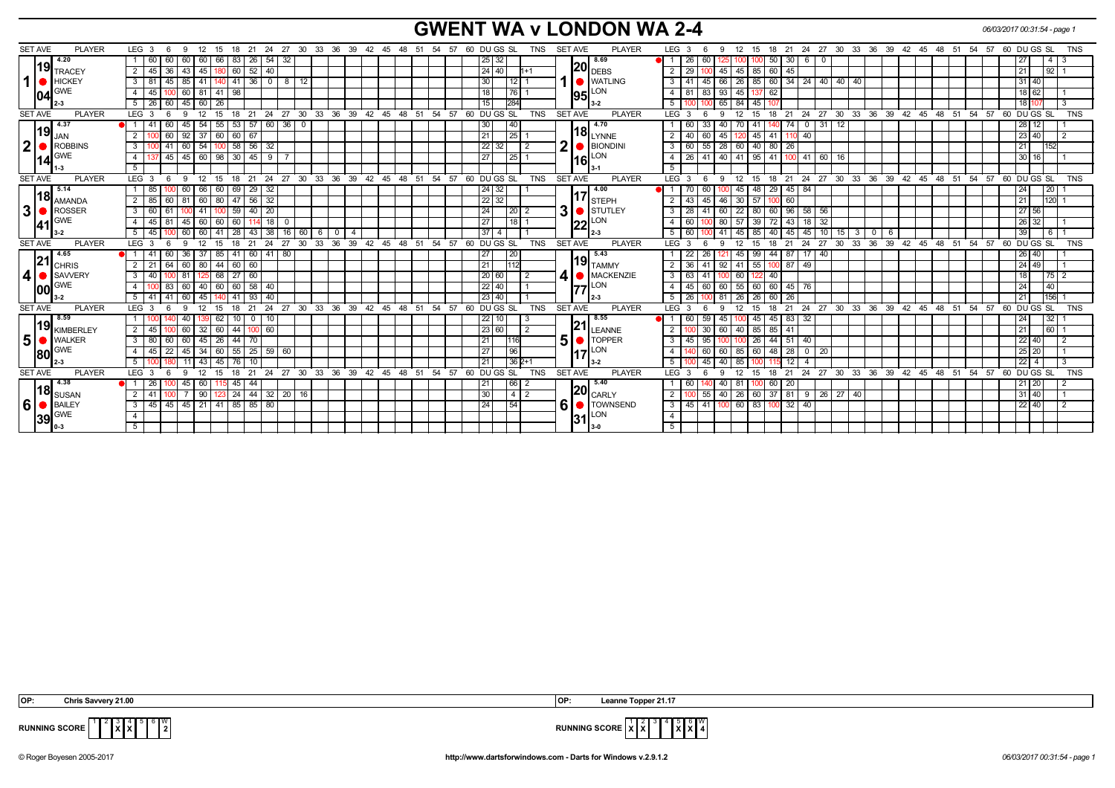### **GWENT WA v LONDON WA 2-4** *CONDON WA 2-4 <i>OGOS2017 00:31:54 - page 1*

| <b>SET AVE</b><br><b>PLAYER</b> | LEG <sub>3</sub><br>12<br>6<br>-9          | 18 21<br>24<br>15                                            | 27 30 33 36 39 42 45 48 51 54 57    |                                |                        |           |          | 60 DU GS SL<br><b>TNS</b>       | <b>SET AVE</b><br><b>PLAYER</b>                                                                   | LEG 3<br>12<br>9                                               | 18<br>15              |                                       | 21 24 27 30 33 36 39 42 45 48 51 54 57 |                     |                  |            |          | 60 DU GS SL                                                | <b>TNS</b> |
|---------------------------------|--------------------------------------------|--------------------------------------------------------------|-------------------------------------|--------------------------------|------------------------|-----------|----------|---------------------------------|---------------------------------------------------------------------------------------------------|----------------------------------------------------------------|-----------------------|---------------------------------------|----------------------------------------|---------------------|------------------|------------|----------|------------------------------------------------------------|------------|
| 4.20<br>l19l                    | 60<br>60<br>60<br>60 I                     | 66<br>83<br>$\sqrt{26}$<br>54                                | -32                                 |                                |                        |           |          | 25 32                           | 8.69                                                                                              | 26<br>60                                                       | 50                    | $30 \mid 6$<br>$\mathbf 0$            |                                        |                     |                  |            |          | 4   3                                                      |            |
| TRACEY                          | 2 <sup>1</sup><br>45<br>36<br>$-43$<br>45  | 40<br>60<br>52                                               |                                     |                                |                        |           |          | 24 40                           | $\overline{\left. \rule{0pt}{2.4pt} \right }$ 20 $\left. \rule{0pt}{2.4pt} \right _{\text{DEBS}}$ | 29<br>45<br>45 85                                              | 60<br>45              |                                       |                                        |                     |                  |            |          | 92 1<br>21                                                 |            |
| 1<br>HICKEY                     | $3 \mid 81$<br>45<br>85 41                 | $\overline{0}$<br>$141$ 36<br>140 I                          | $8 \mid 12$                         |                                |                        |           |          | $ 30\rangle$<br>12 <sub>1</sub> | <b>WATLING</b>                                                                                    | 66<br>3<br>41<br>45                                            |                       | 26   85   60   34   24   40   40   40 |                                        |                     |                  |            |          | 31 40                                                      |            |
| <b>GWE</b><br>104               | 45<br>60 81 41<br>4<br>100                 | 98                                                           |                                     |                                |                        |           |          | 18<br>$76$   1                  | 95 <sup>LON</sup>                                                                                 | 93<br>$\overline{4}$<br>81<br>83<br>$45 \mid 137$              | 62                    |                                       |                                        |                     |                  |            |          | 18 62                                                      |            |
|                                 | $45$ 60 $26$<br>5   26   60                |                                                              |                                     |                                |                        |           |          | 284<br>15                       | 3-2                                                                                               | 65 84 45<br>5<br>1001100                                       |                       |                                       |                                        |                     |                  |            |          | 18 10                                                      |            |
| <b>SET AVE</b><br><b>PLAYER</b> | LEG <sub>3</sub><br>9<br>12<br>6           | $^{\circ}$ 21<br>24<br>15<br>18                              | 27<br>$30^{\circ}$                  | 33 36 39                       | 42 45 48 51 54 57      |           |          | 60 DU GS SL<br><b>TNS</b>       | <b>SET AVE</b><br>PLAYER                                                                          | $LEG \ 3$<br>12<br>9                                           | 21<br>15<br>18        | 24                                    | 27 30 33 36 39 42 45 48 51 54 57       |                     |                  |            |          | 60 DU GS SL                                                | <b>TNS</b> |
| 4.37                            | 54<br>60<br>41<br>45                       | 60<br>55<br>53<br>57                                         | $36$ 0                              |                                |                        |           |          | 40<br>30                        | 4.70                                                                                              | 40<br>$\overline{70}$ 41<br>-33<br>-60                         |                       | 31<br>$\mathbf{0}$                    | 12                                     |                     |                  |            |          | 28 12                                                      |            |
| 19 <br>JAN                      | 2<br>$92$ 37 60<br>60                      | 60 67                                                        |                                     |                                |                        |           |          | $\overline{21}$<br>25           | $\left  18 \right _{\text{LYNNE}}$                                                                | $\overline{2}$<br>$40$ 60<br>45<br>$120$ 45                    | 41 110 40             |                                       |                                        |                     |                  |            |          | 23 40                                                      | l 2        |
| $\boldsymbol{2}$<br>ROBBINS     | 3 <sup>1</sup><br>54<br>41<br>60           | 58<br>56<br>32<br>100                                        |                                     |                                |                        |           |          | 22 <br>32<br>l 2                | 2<br><b>BIONDINI</b>                                                                              | 28<br>$\mathbf{3}$<br>55<br>60<br>60 40                        | 80<br>26              |                                       |                                        |                     |                  |            |          | 21<br>152                                                  |            |
| <b>GWE</b>                      | 45 <br> 45 60 98 <br>4 I                   | $30 \mid 45$<br>9                                            |                                     |                                |                        |           |          | $\overline{27}$<br>25           | $\overline{\phantom{a}}$ 16 $\overline{\phantom{a}}$ LON                                          | 40<br>$\overline{4}$<br>$26 \mid 41$<br>$141$ 95               |                       | 41 100 41 60 16                       |                                        |                     |                  |            |          | 30 16                                                      |            |
| $-3$                            | $5-1$                                      |                                                              |                                     |                                |                        |           |          |                                 |                                                                                                   | 5                                                              |                       |                                       |                                        |                     |                  |            |          |                                                            |            |
| <b>SET AVE</b><br><b>PLAYER</b> | LEG 3<br>- 6                               | 9 12 15 18 21 24 27 30 33 36 39 42 45 48 51 54 57 60 DUGS SL |                                     |                                |                        |           |          | <b>TNS</b>                      | <b>SET AVE</b><br><b>PLAYER</b>                                                                   | LEG 3<br>9<br>- 6                                              |                       |                                       |                                        |                     |                  |            |          | 12 15 18 21 24 27 30 33 36 39 42 45 48 51 54 57 60 DUGS SL | <b>TNS</b> |
| 5.14                            | 66<br>85<br>60                             | 32<br>60<br>69<br>29                                         |                                     |                                |                        |           |          | 24 32                           | 4.00                                                                                              | $\blacksquare$ 1<br>60<br>45   48                              | 29                    | $45 \mid 84$                          |                                        |                     |                  |            |          | 20 <br>24                                                  |            |
| l18l<br><b>AMANDA</b>           | 2 I<br>85<br>60<br>60<br>81                | 32<br>80<br>56<br>47                                         |                                     |                                |                        |           |          | 22 32                           | <b>STEPH</b>                                                                                      | 46<br>$30 \mid 57$<br>2<br>43<br>45                            | 60<br>100             |                                       |                                        |                     |                  |            |          | $1120$ 1<br>21                                             |            |
| 3<br>ROSSER                     | 3 <sup>1</sup><br>60<br>41                 | 20<br>59<br>40<br>100                                        |                                     |                                |                        |           |          | 24<br>20                        | 3 <sup>1</sup><br>STUTLEY                                                                         | 60<br>22<br>$\mathbf{3}$<br>28<br>41                           | 60<br>80              | $96$ 58<br>56                         |                                        |                     |                  |            |          | 27 56                                                      |            |
| <b>GWE</b><br> 41               | 60<br>45<br>81<br>45  <br>$\overline{4}$   | 18<br>60<br>60                                               | - 0                                 |                                |                        |           |          | 27<br>18                        | 22                                                                                                | 80<br>$\overline{4}$<br>57<br>60                               | 72<br>  39<br>43      | 32<br>18                              |                                        |                     |                  |            |          | 26 32                                                      |            |
| $3-2$                           | 60<br>5<br>45<br>60                        | 38<br>28<br>41<br>43                                         | $16$ 60<br>6                        | $\overline{\mathbf{0}}$<br>l 4 |                        |           |          | 37<br>$\overline{4}$            |                                                                                                   | 5<br>41<br>60                                                  | 40<br>  85<br>45      | 10<br>45                              | 15 <sup>1</sup><br>3                   | $\mathbf{0}$<br>- 6 |                  |            |          | 39 <sup>°</sup><br>611                                     |            |
| <b>SET AVE</b><br><b>PLAYER</b> | LEG <sub>3</sub><br>9<br>12<br>6           | 21<br>24<br>15<br>18                                         | $^{\circ}$ 27<br>$30^{\circ}$<br>33 | $36 \t39$                      | 42 45 48 51 54 57      |           |          | 60 DU GS SL<br><b>TNS</b>       | <b>SET AVE</b><br><b>PLAYER</b>                                                                   | <b>LEG</b><br>$\mathbf{3}$<br>12<br>$\mathbf{Q}$<br>-6         | 15<br>18<br>21        | 27<br>24                              | 33<br>$30^{\circ}$                     |                     |                  |            |          | 36 39 42 45 48 51 54 57 60 DUGS SL                         | <b>TNS</b> |
| 4.65                            | 60<br>36 I<br>37                           | 85<br>41 60<br>41                                            | 80                                  |                                |                        |           |          | 20<br>27                        | 5.43                                                                                              | 26<br>45 99<br>22                                              | 44<br>87              | 40<br>117                             |                                        |                     |                  |            |          | 26 40                                                      |            |
| 21 <br><b>CHRIS</b>             | 64<br>2 <sup>1</sup><br>21<br>60 80        | 44<br>$60 \mid 60$                                           |                                     |                                |                        |           |          | $\sqrt{21}$<br>112              | $\bm{\mathsf{19}}\vert_{\mathsf{TAMMY}}$                                                          | $\overline{2}$<br>92<br>$41 \mid 55$<br>36<br>l 41             | 87<br>100 I           | 49                                    |                                        |                     |                  |            |          | 24 49                                                      |            |
| 4<br>SAVVERY                    | 40<br>81<br>3                              | 68<br>$27$ 60                                                |                                     |                                |                        |           |          | 20 <br>60                       | 41<br>MACKENZIE                                                                                   | 63<br>$\mathbf{3}$<br>60<br>l 41<br>100                        | 40<br>-122            |                                       |                                        |                     |                  |            |          | $\sqrt{75}$ 2<br>18 <sup>1</sup>                           |            |
| <b>GWE</b><br>100               | 83<br>60<br>40<br>$\overline{4}$           | 60<br>60<br>58<br>40                                         |                                     |                                |                        |           |          | 22<br>40                        | $77$ <sup>LON</sup>                                                                               | 55<br>45<br>60<br>$\overline{4}$<br>60                         | 60<br>$\overline{60}$ | 45 76                                 |                                        |                     |                  |            |          | 40<br>24                                                   |            |
|                                 | 45<br>5 I<br>60                            | 40<br>-41<br>93                                              |                                     |                                |                        |           |          | 23 40                           | l 2-3                                                                                             | 81<br>5<br>26<br>26                                            | 60<br>26<br>-26       |                                       |                                        |                     |                  |            |          | $156$ 1<br>21                                              |            |
| <b>SET AVE</b><br><b>PLAYER</b> | LEG <sub>3</sub><br>-9<br>12               | 24<br>21<br>15<br>18                                         | 30<br>33<br>27                      | 36<br>39                       | $42 \quad 45 \quad 48$ | 51        | 54 57    | 60 DUGS SL<br><b>TNS</b>        | <b>SET AVE</b><br><b>PLAYER</b>                                                                   | LEG <sup>'</sup><br>12<br>- 3<br>9                             | 21<br>18<br>15        | 24<br>27                              | $30^{\circ}$<br>$33^\circ$             | 36                  | $39 \t 42 \t 45$ | 48<br>່ 51 | 54<br>57 | $60$ DU GS SL                                              | <b>TNS</b> |
| 8.59                            |                                            | 62<br>10                                                     |                                     |                                |                        |           |          | 22                              | 8.55                                                                                              | 45<br>60                                                       | 45<br>45<br>83        | 32                                    |                                        |                     |                  |            |          | 32 <br>24                                                  |            |
| 119<br><b>KIMBERLEY</b>         | 45<br>32<br>2 I<br>60                      | 60<br>100 60<br>44                                           |                                     |                                |                        |           |          | 23 60<br>$\sqrt{2}$             | $21$ LEANNE                                                                                       | 60<br>40   85<br>$\overline{2}$<br>30                          | 85<br>41              |                                       |                                        |                     |                  |            |          | 16011<br>21                                                |            |
| 5 <sup>1</sup><br><b>WALKER</b> | 80<br>60<br>45<br>3 <sup>1</sup><br>60     | 26<br>44<br>70                                               |                                     |                                |                        |           |          | 21<br>116                       | 5 <sup>1</sup><br><b>O</b> TOPPER                                                                 | $\mathbf{3}$<br>45<br>95                                       | 44 51 40<br>26        |                                       |                                        |                     |                  |            |          | 22 40                                                      | l 2        |
| <b>GWE</b><br>180               | $\overline{22}$<br>45<br>34<br>45<br>4     | 60<br>$\sqrt{25}$<br>59<br>55                                | 60                                  |                                |                        |           |          | $\overline{27}$<br>96           | $17$ <sup>LON</sup>                                                                               | 60<br>85 60<br>$\overline{4}$<br>60                            | 48                    | $28$ 0 20                             |                                        |                     |                  |            |          | $25$ 20                                                    |            |
|                                 | 43<br>5                                    | 45                                                           |                                     |                                |                        |           |          | $362+1$<br>21                   |                                                                                                   | 5<br>40<br>45                                                  | 12                    |                                       |                                        |                     |                  |            |          | $22 \quad 4$                                               |            |
| <b>SET AVE</b><br><b>PLAYER</b> | LEG <sub>3</sub><br><sub>9</sub>           | 24<br>18<br>21<br>15                                         | 27<br>30<br>33                      | 36<br>39                       | 42<br>45               | -48<br>51 | 54<br>57 | 60 DU GS SL<br><b>TNS</b>       | SET AVE<br><b>PLAYER</b>                                                                          | LEG <sup>'</sup><br>12<br>3                                    | 21<br>18<br>15        | 24 27                                 | 33<br>36<br>30                         | $39 \t 42$          | 45               | 48<br>51   | 54<br>57 | 60 DU GS SL                                                | <b>TNS</b> |
| 4.38                            | 45<br>60<br>26                             | 45<br>44                                                     |                                     |                                |                        |           |          | 21<br>66                        | 5.40                                                                                              | 40<br>81<br>60                                                 | 60<br>20              |                                       |                                        |                     |                  |            |          | $21 \overline{20}$                                         |            |
| l18l<br><b>SUSAN</b>            | 90<br>2 <sup>1</sup><br>41                 | 32<br> 44<br>24                                              | $20$ 16                             |                                |                        |           |          | 30<br>$4 \mid 2$                | $\bm{\left  \mathbf{20} \right }_{\mathsf{CARLY}}$                                                | $\overline{2}$<br>40<br>$26 \mid 60$<br>55                     | 37                    | 81 9 26 27 40                         |                                        |                     |                  |            |          | 31   40                                                    |            |
| 6<br>BAILEY                     | 45   45   45   21   41  <br>3 <sup>1</sup> | 85 85<br>80                                                  |                                     |                                |                        |           |          | 54<br>24                        | 6<br><b>O</b> TOWNSEND                                                                            | $\overline{\mathbf{3}}$<br>$45 \mid 41 \mid$<br>60   83<br>100 | 100 I                 | 32   40                               |                                        |                     |                  |            |          | 22 40                                                      |            |
|                                 |                                            |                                                              |                                     |                                |                        |           |          |                                 |                                                                                                   |                                                                |                       |                                       |                                        |                     |                  |            |          |                                                            |            |
| <b>GWE</b>                      | $\overline{4}$                             |                                                              |                                     |                                |                        |           |          |                                 | LON                                                                                               | $\overline{4}$                                                 |                       |                                       |                                        |                     |                  |            |          |                                                            |            |
| 39<br>0-3                       | 5 <sup>1</sup>                             |                                                              |                                     |                                |                        |           |          |                                 | 31                                                                                                | 5                                                              |                       |                                       |                                        |                     |                  |            |          |                                                            |            |

 **OP: Chris Savvery 21.00 OP: Leanne Topper 21.17**

**X** 4 **X**

 $\sqrt{\frac{w}{2}}$ 



**RUNNING SCORE**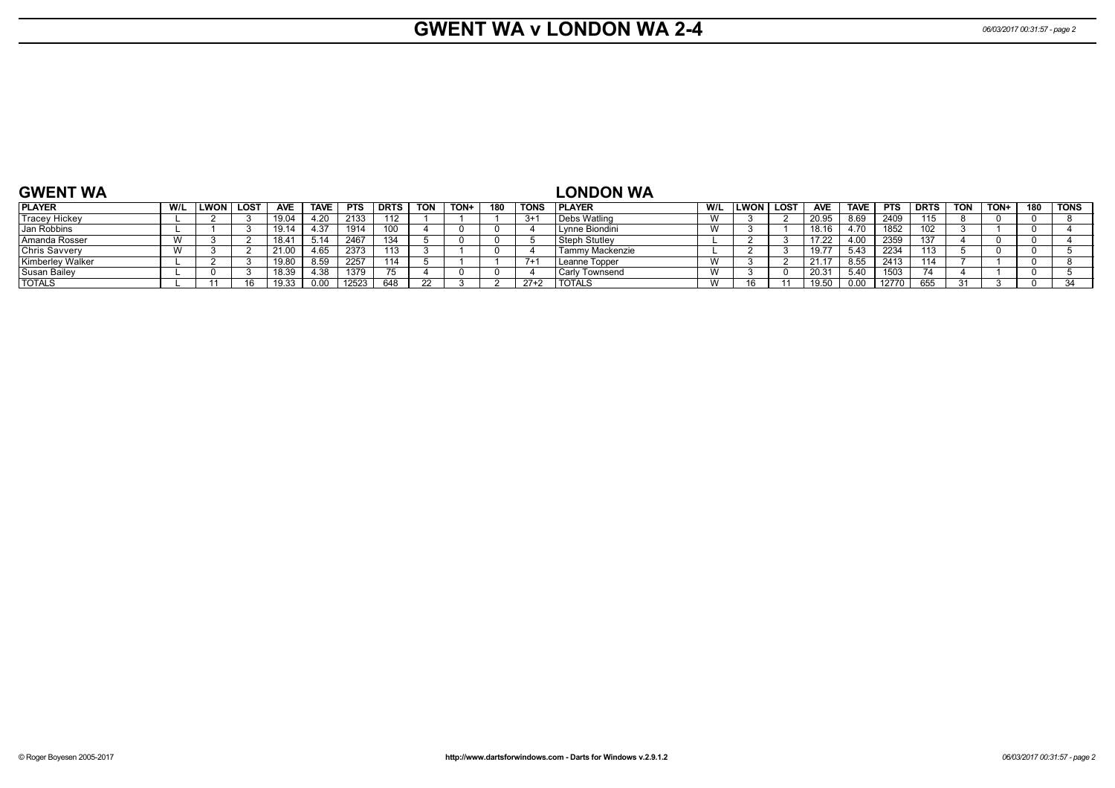TOTALS W 16 11 19.50 0.00 12770 655 31 3 0 34

| <b>GWENT WA</b>      |           |             |                  |                |             |            |             |            |      |     |             | <b>LONDON WA</b>  |     |             |             |                   |             |            |             |            |      |     |             |
|----------------------|-----------|-------------|------------------|----------------|-------------|------------|-------------|------------|------|-----|-------------|-------------------|-----|-------------|-------------|-------------------|-------------|------------|-------------|------------|------|-----|-------------|
| <b>PLAYER</b>        | W/L       | <b>LWON</b> | LOS <sub>1</sub> | <b>AVE</b>     | <b>TAVE</b> | <b>PTS</b> | <b>DRTS</b> | <b>TON</b> | TON+ | 180 | <b>TONS</b> | <b>I PLAYER</b>   | W/L | <b>LWON</b> | <b>LOST</b> | <b>AVE</b>        | <b>TAVE</b> | <b>PTS</b> | <b>DRTS</b> | <b>TON</b> | TON+ | 180 | <b>TONS</b> |
| <b>Tracey Hickey</b> |           |             |                  | 19.04          | 4.20        | 2133       | 112         |            |      |     | $3+$        | ' Debs Watling    |     |             |             | 20.95             | 8.69        | 2409       |             |            |      |     |             |
| Jan Robbins          |           |             |                  | 19.14          | 1.37        | 1914       |             |            |      |     |             | ' vnne Biondini   |     |             |             | 18.16             | 4.70        | 1852       |             |            |      |     |             |
| l Amanda Rosser      | <b>VV</b> |             |                  | $18.4^{\circ}$ | 5.14        | 2467       | 134         |            |      |     |             | Steph Stutlev     |     |             |             | 17.22             | 4.00        | 2359       |             |            |      |     |             |
| Chris Savvery        |           |             |                  |                | 4.65        | 2373       | 113         |            |      |     |             | Γammγ Mackenzie   |     |             |             | 19.77             | 5.43        | 2234       | 112<br>10.  |            |      |     |             |
| Kimberley Walker     |           |             |                  | 19.80          | 8.59        | 2257       | 114         |            |      |     | $7+$        | Leanne Topper     |     |             |             |                   | 8.55        | 2413       | 114         |            |      |     |             |
| l Susan Bailev       |           |             |                  | 18.39          | 1.38        | 1379       |             |            |      |     |             | Townsend<br>Carlv |     |             |             | 20.3 <sup>4</sup> | 5.40        | 1503       |             |            |      |     |             |

#### **GWENT WA**

TOTALS L 11 16 19.33 0.00 12523 648 22 3 2 27+2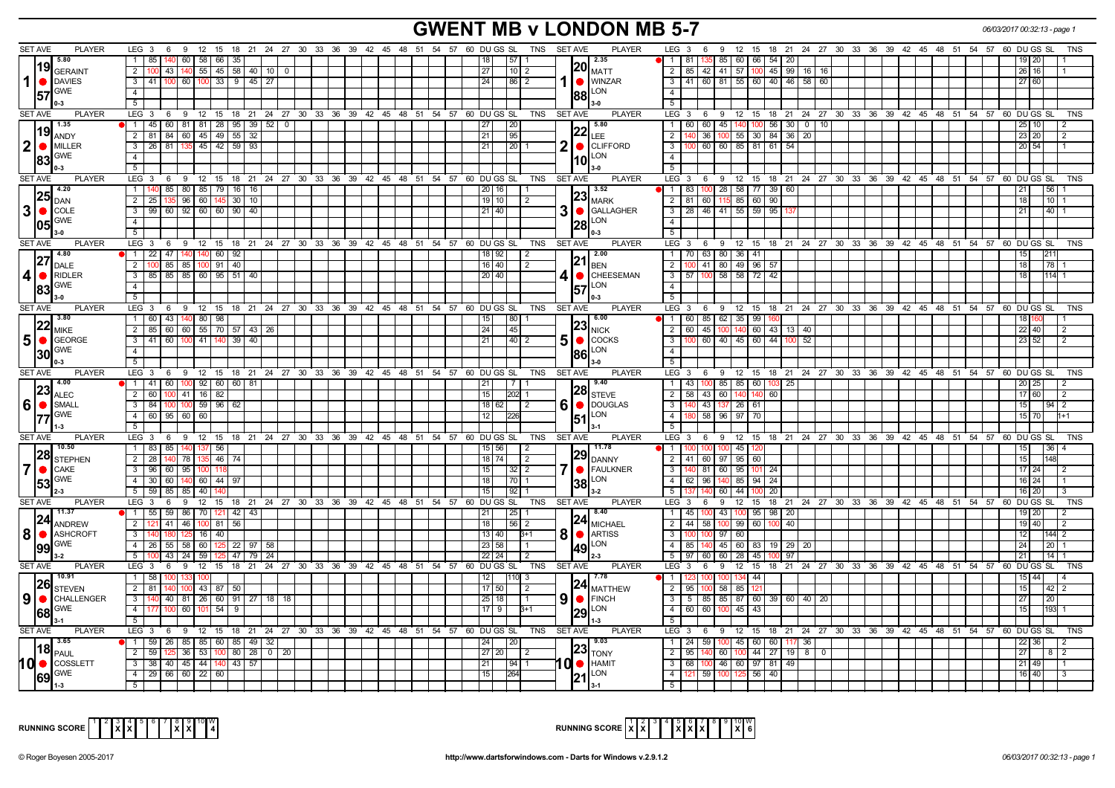# **GWENT MB v LONDON MB 5-7** *06/03/2017 00:32:13 - page 1*

| <b>PLAYER</b><br><b>SET AVE</b>                                                      | LEG <sub>3</sub><br>6<br>9                                                                                  |  | 12 15 18 21 24 27 30 33 36 39 42 45 48 51 54 57 60 DUGS SL                 | <b>PLAYER</b><br>TNS SET AVE                               | LEG <sub>3</sub><br>12 15 18 21 24 27 30 33 36 39 42 45 48 51 54 57 60 DU GS SL<br>6<br>9                   | TNS        |
|--------------------------------------------------------------------------------------|-------------------------------------------------------------------------------------------------------------|--|----------------------------------------------------------------------------|------------------------------------------------------------|-------------------------------------------------------------------------------------------------------------|------------|
| 5.80                                                                                 | $1 \overline{85}$<br>60<br>58 66 35                                                                         |  | 57<br>18 <sup>1</sup>                                                      | 12.35                                                      | 135 85 60 66 54<br>$\vert$ 1<br>81<br> 20 <br>19120                                                         |            |
| 19 <br>GERAINT                                                                       | $\overline{2}$<br>43   140   55   45   58   40   10   0<br>100 I                                            |  | $110$ 2<br>27                                                              | $\left\vert 20\right\vert _{\text{MATT}}$                  | 2   85   42   41   57   100   45   99   16   16<br>26<br>16                                                 |            |
| $1  \bullet  $ DAVIES                                                                | $3   41   100   60   100   33   9   45   27$                                                                |  | 24<br>2                                                                    | WINZAR                                                     | $3   41   60   81   55   60   40   46   58   60$<br>27 60                                                   |            |
|                                                                                      |                                                                                                             |  | 86                                                                         |                                                            |                                                                                                             |            |
| $ 57 ^\text{GWE}$                                                                    | $\overline{4}$                                                                                              |  |                                                                            | $ 88 ^{LON}$                                               | $-4$                                                                                                        |            |
| l 0-3                                                                                | 5 <sup>5</sup>                                                                                              |  |                                                                            |                                                            | $5\overline{5}$                                                                                             |            |
| <b>SET AVE</b><br><b>PLAYER</b>                                                      | $LEG_3$ 6                                                                                                   |  | 9 12 15 18 21 24 27 30 33 36 39 42 45 48 51 54 57 60 DUGSSL<br>TNS         | <b>PLAYER</b><br><b>SET AVE</b>                            | $LEG^{\cdot}$ 3<br>12 15 18 21 24 27 30 33 36 39 42 45 48 51 54 57 60 DUGS SL<br>69                         | <b>TNS</b> |
| 1.35                                                                                 | 1   45   60   81   81   28   95   39   52   0                                                               |  | 20<br>27                                                                   | 5.80                                                       | 60 45 440 100 56 30 0 10<br>60 I<br>$\overline{1}$<br>25<br>10.                                             |            |
| 19                                                                                   | 45 49 55<br>2 81 84 60<br>32                                                                                |  | 21<br>95                                                                   | $ 22 _{\text{LEE}}$                                        | $55 \mid 30 \mid 84$<br>$36$   20<br>$\overline{2}$<br>36<br>10 <sup>7</sup><br>$23$ :                      |            |
| ANDY                                                                                 |                                                                                                             |  |                                                                            |                                                            |                                                                                                             |            |
| $2$ $\bullet$ MILLER                                                                 | 3 26 81 135<br>45 42 59<br>93                                                                               |  | 21<br>20 <sub>1</sub>                                                      | CLIFFORD                                                   | $\overline{\mathbf{3}}$<br>60 60 85 81 61<br>20 54<br>54                                                    |            |
| $ 83 ^\text{GWE}$                                                                    | $\overline{4}$                                                                                              |  |                                                                            | <b>ILON</b>                                                | $\overline{4}$                                                                                              |            |
| $0 - 3$                                                                              | 5 <sup>7</sup>                                                                                              |  |                                                                            |                                                            | $-5$                                                                                                        |            |
| <b>SET AVE</b><br><b>PLAYER</b>                                                      | LEG 3 6 9 12 15 18 21 24 27 30 33 36 39 42 45 48 51 54 57 60 DUGS SL                                        |  | TNS                                                                        | SET AVE<br><b>PLAYER</b>                                   | LEG 3 6 9 12 15 18 21 24 27 30 33 36 39 42 45 48 51 54 57 60 DUGS SL                                        | <b>TNS</b> |
| 4.20                                                                                 | 85   80   85   79   16   16                                                                                 |  | 20 16                                                                      | 3.52                                                       | $100$ 28 58 77 39 60<br>  83  <br>56 <br>$\overline{1}$<br>21                                               |            |
| 25 <br>DAN                                                                           | 2 25 135 96 60 145 30 10                                                                                    |  | 19 10<br>$\sqrt{2}$                                                        | $23$ <sub>MARK</sub>                                       | 2 81 60 115 85 60 90<br>  18  <br>  10   1                                                                  |            |
|                                                                                      |                                                                                                             |  |                                                                            |                                                            |                                                                                                             |            |
| 3 ●<br><b>COLE</b>                                                                   | 3   99   60   92   60   60   90   40                                                                        |  | 21 40                                                                      | GALLAGHER                                                  | $3$   28   46   41   55   59   95<br>21<br> 40 1                                                            |            |
| <b>GWE</b><br>05                                                                     | 4                                                                                                           |  |                                                                            | 128                                                        | $\overline{4}$                                                                                              |            |
| $3-0$                                                                                | $\overline{5}$                                                                                              |  |                                                                            |                                                            | $-5$                                                                                                        |            |
| <b>SET AVE</b><br><b>PLAYER</b>                                                      | LEG 3 6 9 12 15 18 21 24 27 30 33 36 39 42 45 48 51 54 57 60 DUGS SL                                        |  | TNS                                                                        | SET AVE<br><b>PLAYER</b>                                   | LEG 3 6 9 12 15 18 21 24 27 30 33 36 39 42 45 48 51 54 57 60 DUGS SL                                        | <b>TNS</b> |
| 14.80                                                                                | $1 \mid 22 \mid 47 \mid 140 \mid$<br>$140$ 60 $92$                                                          |  | 18 92<br>$\overline{2}$                                                    | 12.00                                                      | 1   70   63   80   36   41                                                                                  |            |
| DALE                                                                                 | $\overline{2}$<br>100 85 85 100 91 40                                                                       |  | 16 40<br>2                                                                 | $ 21 _{\text{BEN}}$                                        | 2   100   41   80   49   96   57<br>  78   1<br>  18                                                        |            |
| $4 • $ RIDLER                                                                        | 3   85   85   85   60   95   51   40                                                                        |  | $\overline{20 40}$                                                         | CHEESEMAN                                                  | $3$   57   100   58   58   72   42<br>18<br>$114$ 1                                                         |            |
|                                                                                      |                                                                                                             |  |                                                                            |                                                            |                                                                                                             |            |
| $\left  83 \right  ^{\text{GWE}}$                                                    | $\overline{4}$                                                                                              |  |                                                                            | 57                                                         | $\overline{4}$                                                                                              |            |
| $3-0$                                                                                | 5                                                                                                           |  |                                                                            | $0-3$                                                      | 5                                                                                                           |            |
| <b>SET AVE</b><br><b>PLAYER</b>                                                      | LEG 3 6 9 12 15 18 21 24 27 30 33 36 39 42 45 48 51 54 57 60 DUGS SL                                        |  | TNS                                                                        | SET AVE<br><b>PLAYER</b>                                   | LEG 3 6 9 12 15 18 21 24 27 30 33 36 39 42 45 48 51 54 57 60 DUGS SL                                        | <b>TNS</b> |
| 3.80                                                                                 | 1   60   43   140   80   98                                                                                 |  | 15<br>80                                                                   | 16.00                                                      | 1 60 85 62 35 99<br>18                                                                                      |            |
| 22<br><b>MIKE</b>                                                                    | 2   85   60   60   55   70   57   43   26                                                                   |  | 24<br>45                                                                   | $ 23 _{NICK}$                                              | 60   45   100   140   60   43   13   40<br>$\overline{2}$<br>22   40                                        |            |
| $5$ $\circ$ GEORGE                                                                   | 3 41 60 100 41 140 39 40                                                                                    |  | $\overline{21}$<br>$40$   2                                                | 5<br>$\bigcirc$ COCKS                                      | 60 40 45 60 44 100 52<br>$\overline{\mathbf{3}}$<br>23 52<br>$\overline{2}$                                 |            |
| $30 \frac{\text{GWE}}{\text{APE}}$                                                   | $\overline{4}$                                                                                              |  |                                                                            | <b>ILON</b>                                                | $\overline{4}$                                                                                              |            |
|                                                                                      | 5 <sup>5</sup>                                                                                              |  |                                                                            |                                                            |                                                                                                             |            |
|                                                                                      |                                                                                                             |  |                                                                            |                                                            |                                                                                                             |            |
|                                                                                      |                                                                                                             |  |                                                                            |                                                            |                                                                                                             |            |
| <b>SET AVE</b><br><b>PLAYER</b>                                                      | LEG 3   6   9   12   15   18   21   24   27   30   33   36   39   42   45   48   51   54   57   60   DUGSSL |  |                                                                            | TNS SET AVE<br><b>PLAYER</b>                               | LEG 3 6 9 12 15 18 21 24 27 30 33 36 39 42 45 48 51 54 57 60 DUGS SL                                        | <b>TNS</b> |
|                                                                                      | 1 41 60 100 92 60 60 81                                                                                     |  | 21                                                                         | 9.40                                                       | $\overline{1}$<br>100 85 85 60 103<br>43<br>$25 \mid$<br>201                                                |            |
| 23                                                                                   | 2   60   100   41   16   82                                                                                 |  | 15<br>202                                                                  |                                                            | 58 43 60 140 140<br>60<br>17 60                                                                             |            |
| <b>ALEC</b>                                                                          |                                                                                                             |  |                                                                            | $\left 28\right _{\text{STEVE}}$                           | $\overline{2}$<br>9412                                                                                      |            |
| $ 6  \bullet$<br>SMALL                                                               | 3   84   100   100   59   96   62                                                                           |  | 18 62                                                                      | <b>O</b> DOUGLAS                                           | $\overline{\mathbf{3}}$<br>140 43 137 26 61<br>15 <sup>1</sup>                                              |            |
| <b>GWE</b><br> 77                                                                    | $4$ 60 95 60 60                                                                                             |  |                                                                            | $151$ <sup>LON</sup>                                       | $58$ 96 97 70<br>$-4$<br>15 <sup>1</sup>                                                                    |            |
| 1-3                                                                                  | 5 <sup>5</sup>                                                                                              |  |                                                                            |                                                            | 5                                                                                                           |            |
| <b>SET AVE</b><br><b>PLAYER</b>                                                      | LEG 3 6 9 12 15 18 21 24 27 30 33 36 39 42 45 48 51 54 57 60 DUGS SL                                        |  | TNS                                                                        | <b>PLAYER</b><br><b>SET AVE</b>                            | LEG 3 6 9 12 15 18 21 24 27 30 33 36 39 42 45 48 51 54 57 60 DUGS SL                                        | <b>TNS</b> |
| 10.50                                                                                | 1   83   85   140   137   56                                                                                |  | 15 56                                                                      | 11.78                                                      | 100 100 45 120<br>l 1<br>36 <sup>1</sup>                                                                    |            |
|                                                                                      | 2 28 140 78<br>135 46 74                                                                                    |  | $18$ 74<br>12                                                              |                                                            | 2 41 60 97 95 60<br>15<br>148                                                                               |            |
| <b>28</b> STEPHEN                                                                    | 3 96 60 95<br>100 118                                                                                       |  | l 15 I<br>$32 \mid 2$                                                      | $\bm{29}$ DANNY<br>FAULKNER                                | 3<br>81 60 95 101 24<br>$17$ 24<br>$\frac{12}{2}$                                                           |            |
| $7  \bullet  $ CAKE                                                                  |                                                                                                             |  | 18                                                                         |                                                            | $\overline{4}$<br>  62   96   140   85   94   24<br>16 24                                                   |            |
|                                                                                      | 4   30   60   140   60   44   97                                                                            |  |                                                                            | $\overline{\textbf{38}}$ LON                               |                                                                                                             |            |
| $\left 53\right ^\text{GWE}$<br>$2 - 3$                                              | 5 59 85 85 40                                                                                               |  | 15<br>$92 \mid 1$                                                          |                                                            | 5<br>140 60 44<br>- 20<br>$16$ :                                                                            |            |
| <b>SET AVE</b><br><b>PLAYER</b>                                                      | LEG <sub>3</sub><br>6                                                                                       |  | 9 12 15 18 21 24 27 30 33 36 39 42 45 48 51 54 57 60 DUGS SL<br><b>TNS</b> | SET AVE<br><b>PLAYER</b>                                   | LEG 3 6 9 12 15 18 21 24 27 30 33 36 39 42 45 48 51 54 57 60 DUGS SL                                        | TNS        |
| 11.37                                                                                | 1 55 59 86 70 121<br> 42 43                                                                                 |  | 25<br>21 I                                                                 | 8.40                                                       | 100 43 100 95 98 20<br>$\overline{1}$<br>45<br>19 20                                                        |            |
|                                                                                      | 121 41 46 100 81 56<br>2 I                                                                                  |  | 18<br>56 2                                                                 |                                                            | $\overline{2}$<br>44 58 100 99 60 100<br>$-40$<br>19 40<br>12                                               |            |
| $24$ ANDREW                                                                          | $16 \mid 40 \mid$<br>3 <sup>1</sup><br>140   180   125                                                      |  | 13 40<br>3+1                                                               | $24$ MICHAEL<br><b>ARTISS</b>                              | $100$ 97 60<br>$\mathbf{3}$<br>12<br>144  2                                                                 |            |
| 8   <b>SEP ASHCROFT</b>                                                              | 4   26   55   58   60   125   22   97   58                                                                  |  | 23 58                                                                      | 8<br><b>LON</b>                                            | 2011<br>29 20<br>24                                                                                         |            |
|                                                                                      |                                                                                                             |  |                                                                            |                                                            | 4   85   140   45   60   83   19                                                                            |            |
| $\left  99 \right ^\text{GWE}$<br>$3 - 2$                                            | 43   24   59  <br>5 <sup>1</sup><br>  47   79   24                                                          |  | $22$ 24                                                                    |                                                            | 60 60 28 45 100<br>5<br>97<br>$14$   1<br>l 97 l<br>21                                                      |            |
| <b>SET AVE</b><br><b>PLAYER</b>                                                      | LEG 3 6 9 12 15 18 21 24 27 30 33 36 39 42 45 48 51 54 57 60 DUGS SL                                        |  | TNS                                                                        | <b>SET AVE</b><br><b>PLAYER</b>                            | $LEG^{\cdot}$ 3<br>6 <sup>°</sup><br><b>9</b><br>12 15 18 21 24 27 30 33 36 39 42 45 48 51 54 57 60 DUGS SL | <b>TNS</b> |
| 10.91                                                                                | 1 58 100 133<br>100                                                                                         |  | $1110 - 3$<br>12                                                           | <b>1</b> 7.78                                              | 44<br>15 44<br>$\overline{1}$<br>۱M<br>$\overline{14}$                                                      |            |
|                                                                                      | $2 \mid 81$<br>140 100 43 87 50                                                                             |  | 17150<br>2                                                                 |                                                            | 100 58 85<br>$\overline{2}$<br>-95 I<br>15 <sup>1</sup><br>$42$   2                                         |            |
| $\left  {\bf 26}\right _{\text{STEVEN}}$<br>$\vert 9 \vert \bullet \vert$ Challenger | 140   40   81   26   60   91   27   18   18<br>$3-1$                                                        |  | 25 18                                                                      | $\left 24\right _{\text{MATTHEW}}$<br>9<br>$\bullet$ FINCH | 5 85 85 87 60 39 60 40 20<br>$\overline{\mathbf{3}}$<br>27<br>20                                            |            |
| <b>GWE</b>                                                                           | 4 177 100 60 101 54 9                                                                                       |  | 17 9<br>$3+1$                                                              |                                                            | 4 60 60 100 45 43<br>15<br>193 1                                                                            |            |
| 68 <br>$3 - 1$                                                                       | $5-1$                                                                                                       |  |                                                                            | <b>129</b>                                                 | 5                                                                                                           |            |
|                                                                                      |                                                                                                             |  |                                                                            |                                                            |                                                                                                             |            |
| <b>SET AVE</b><br><b>PLAYER</b>                                                      | $LEG$ 3<br>6 9 12 15 18 21 24 27 30 33 36 39 42 45 48 51 54 57 60 DUGS SL                                   |  | TNS                                                                        | SET AVE<br>PLAYER                                          | LEG 3<br>$6\overline{6}$<br>12 15 18 21 24 27 30 33 36 39 42 45 48 51 54 57 60 DUGS SL                      | TNS        |
| 3.65                                                                                 | 1   59   26   85   85   60   85   49   32                                                                   |  | 24<br>20                                                                   | 19.03                                                      | 59 100 45 60 60 117 36<br>$\sqrt{24}$<br>22 36                                                              |            |
| $\left\  18 \right\ _\text{PAUL}$                                                    | 2   59   125   36   53   100   80   28   0   20                                                             |  | $\boxed{27}$ $\boxed{20}$<br>-2                                            | $23$ <sub>TONY</sub>                                       | $2$   95   140   60   100   44   27   19   8   0<br>27<br>812                                               |            |
|                                                                                      | $3 \mid 38 \mid 40 \mid 45 \mid 44 \mid 140 \mid 43 \mid 57$                                                |  | 21 <br> 94 1                                                               | <b>O</b> HAMIT                                             | $3   68   100   46   60   97   81   49  $<br>$21$ 49                                                        |            |
| <b>GWE</b><br>69                                                                     | 4   29   66   60   22   60                                                                                  |  | 15<br>264                                                                  | $ 21 ^{LON}$                                               | 4 121 59 100 125 56 40<br>16 40<br>$\overline{5}$                                                           |            |

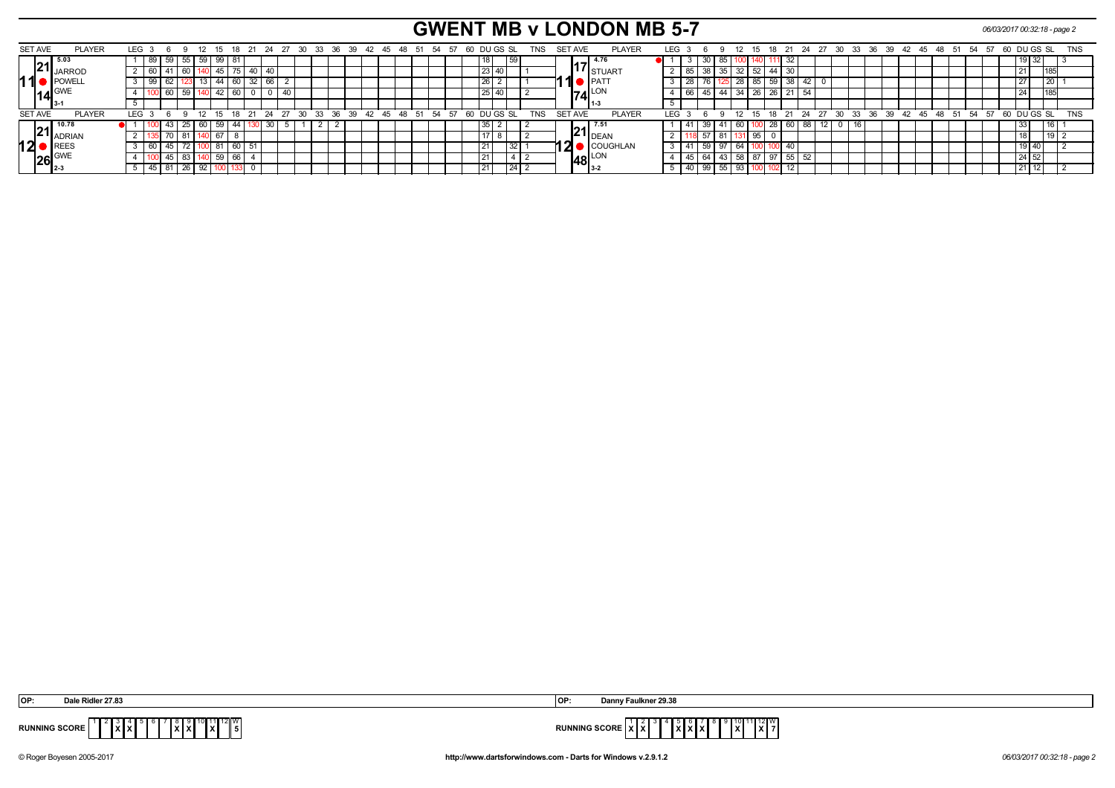# **GWENT MB v LONDON MB 5-7** *06/03/2017 00:32:18 - page 2*

| SET AVE        |                     | <b>PLAYER</b>          | LEG <sub>3</sub> | - 6   |    |         | -12             |              | 18         | 24       | . 27 |                | -30 |  | 33 36 39 | 42 45 48 51          |  | -54  | -57 | 60 DU GS SL |                 |       |    | TNS        | SET AVE        |                     | <b>PLAYER</b>                     | LEG        |         | - 6             | ___             | -12               |              | 18 |                     | -24      | 27 30  |                                  |    | 33 36 39 42 45 48 51 |  |  | - 54 | -57 |  | 60 DU GS SL |                 | <b>TNS</b> |  |
|----------------|---------------------|------------------------|------------------|-------|----|---------|-----------------|--------------|------------|----------|------|----------------|-----|--|----------|----------------------|--|------|-----|-------------|-----------------|-------|----|------------|----------------|---------------------|-----------------------------------|------------|---------|-----------------|-----------------|-------------------|--------------|----|---------------------|----------|--------|----------------------------------|----|----------------------|--|--|------|-----|--|-------------|-----------------|------------|--|
|                | 194                 | l 5.03                 |                  | -89 I | 59 | 55      |                 | $59 \mid 99$ | -81        |          |      |                |     |  |          |                      |  |      |     |             |                 |       | 59 |            |                | 4.76                |                                   |            |         | 30 <sup>1</sup> | 85              |                   |              |    | 32<br>111           |          |        |                                  |    |                      |  |  |      |     |  | 9321        |                 |            |  |
|                |                     | <b>E L</b> JARROD      |                  | -60   |    | 60 I    |                 | )  45        |            | 75 40 40 |      |                |     |  |          |                      |  |      |     |             |                 | 23 40 |    |            |                |                     | <b>I</b> ISTUART                  |            | 85      |                 | 35 I            |                   | $32 \mid 52$ | 44 | 30                  |          |        |                                  |    |                      |  |  |      |     |  |             | 118             |            |  |
|                |                     | <b>IPOWELL</b>         |                  | -99   |    |         |                 | 13   44      | 60 I       | 32 66    |      |                |     |  |          |                      |  |      |     |             | 26              |       |    |            |                | $\blacksquare$      |                                   |            |         |                 |                 |                   | 28   85      | 59 |                     | 38       |        |                                  |    |                      |  |  |      |     |  |             | $\overline{20}$ |            |  |
|                | $14\frac{GWF}{3.1}$ |                        |                  |       |    |         |                 | 42           | 60 l       |          |      |                |     |  |          |                      |  |      |     |             | $\overline{25}$ |       |    |            |                | $74$ <sup>LON</sup> |                                   |            | 66 l    |                 |                 | $44$ 34 26        |              |    | 26<br>21            |          |        |                                  |    |                      |  |  |      |     |  |             | 119             |            |  |
|                |                     |                        |                  |       |    |         |                 |              |            |          |      |                |     |  |          |                      |  |      |     |             |                 |       |    |            |                | $11-3$              |                                   |            |         |                 |                 |                   |              |    |                     |          |        |                                  |    |                      |  |  |      |     |  |             |                 |            |  |
| <b>SET AVE</b> |                     | <b>PLAYER</b>          | LEG :            |       |    |         | 12 <sup>°</sup> |              | $15$ 18 21 |          |      | $24$ $27$ $30$ |     |  |          | 33 36 39 42 45 48 51 |  | - 54 | 57  |             | 60 DU GS SL     |       |    | <b>TNS</b> | <b>SET AVE</b> |                     | <b>PLAYER</b>                     | <b>IFG</b> |         |                 | $\Omega$        |                   |              |    | $12$ $15$ $18$ $21$ |          |        | 24 27 30 33 36 39 42 45 48 51 54 |    |                      |  |  |      | 57  |  | 60 DU GS SL |                 | <b>TNS</b> |  |
|                |                     | $121$ <sup>10.78</sup> |                  |       |    | 43   25 |                 | 60   59      | 44   130   | C G      |      |                |     |  |          |                      |  |      |     |             | 35              |       |    |            |                |                     | $\ $ 21 $\ _{\text{DEAN}}^{7.51}$ |            |         |                 |                 | 39 41 60 1        |              |    |                     | 28 60 88 | 12   0 |                                  | 16 |                      |  |  |      |     |  |             | l 16 l          |            |  |
|                |                     | <b>IZ I</b> ADRIAN     |                  |       |    | -81     |                 | 67           |            |          |      |                |     |  |          |                      |  |      |     |             | 17              |       |    |            |                |                     |                                   |            |         |                 | $\overline{81}$ |                   |              |    |                     |          |        |                                  |    |                      |  |  |      |     |  |             | l 19 l          |            |  |
| 12             |                     | REES                   |                  |       |    |         |                 |              | 60 51      |          |      |                |     |  |          |                      |  |      |     |             | 21              |       |    |            | 2              |                     | COUGHLAN                          |            |         |                 | $\sqrt{97}$     | 64                |              |    | 40                  |          |        |                                  |    |                      |  |  |      |     |  | 91401       |                 |            |  |
|                | $26$ <sub>2-3</sub> |                        |                  |       |    | 83      |                 | 40 59        | 66         |          |      |                |     |  |          |                      |  |      |     |             | $-21$           |       |    |            |                | $48_{3.2}^{LON}$    |                                   |            | 45   64 |                 | $\vert$ 43      |                   | $58$ 87      | 97 |                     | 55       |        |                                  |    |                      |  |  |      |     |  | 24 52       |                 |            |  |
|                |                     |                        |                  |       |    |         |                 |              |            |          |      |                |     |  |          |                      |  |      |     |             | 21              |       |    |            |                |                     |                                   |            | 40 I    |                 |                 | $55 \mid 93 \mid$ |              |    | 102<br>12           |          |        |                                  |    |                      |  |  |      |     |  | 21 12       |                 |            |  |

| <b>IOP</b>           | $1.01 - 0.720$<br><b>Dale</b><br>≅кіпік<br>r 27.8 | lOF         | ulknor 20.2<br>Dann<br>uinier 49.30                                                              |
|----------------------|---------------------------------------------------|-------------|--------------------------------------------------------------------------------------------------|
| <b>RUNNING SCORE</b> | $11112$ W.<br>l x I<br>$\ x\ x\ $<br>IXIXI        | <b>DUMB</b> | ∣/∎∨<br>$\sim$ 000 $\sim$<br>. <i>. .</i><br>.<br>.<br>NG SLURE<br>.<br>8 A B<br>. <b>.</b><br>. |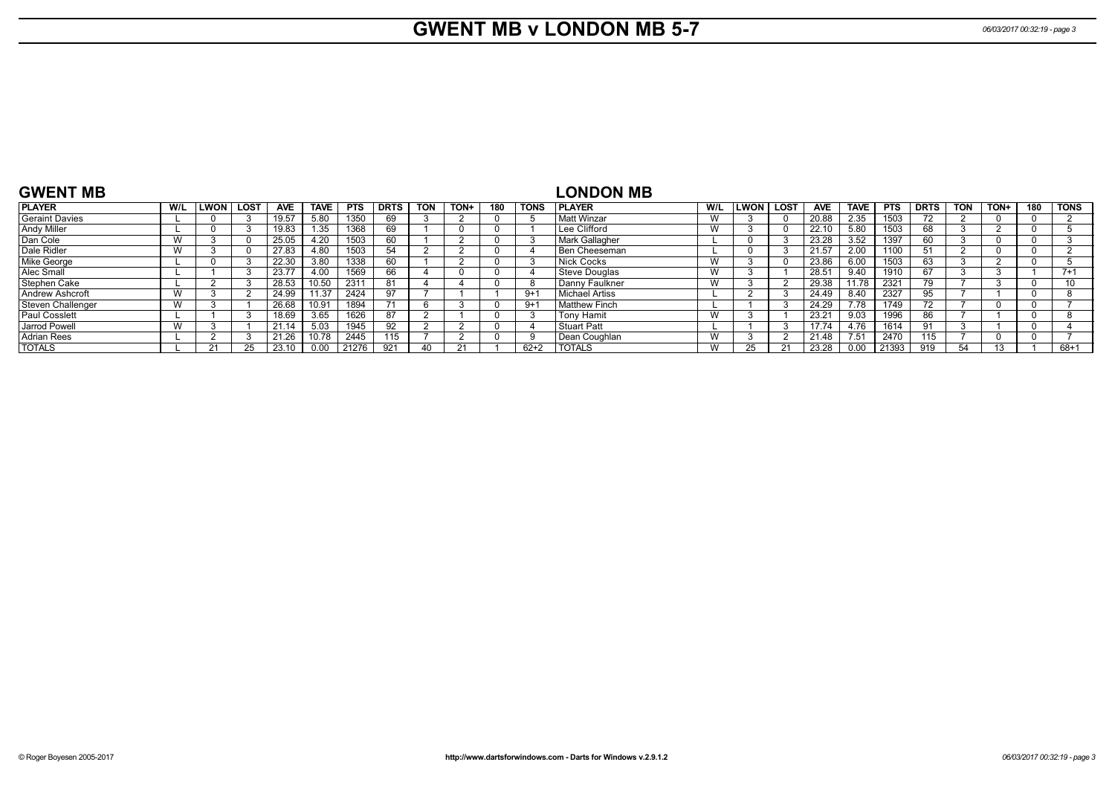# **GWENT MB v LONDON MB 5-7** *06/03/2017 00:32:19 - page 3*

| <b>GWENT MB</b>      |                 |        |      |            |             |            |             |            |        |     |             | <b>LONDON MB</b>       |     |      |             |            |             |            |             |            |      |     |             |
|----------------------|-----------------|--------|------|------------|-------------|------------|-------------|------------|--------|-----|-------------|------------------------|-----|------|-------------|------------|-------------|------------|-------------|------------|------|-----|-------------|
| <b>IPLAYER</b>       | W/L             | LWON l | LOST | <b>AVE</b> | <b>TAVE</b> | <b>PTS</b> | <b>DRTS</b> | <b>TON</b> | $TON+$ | 180 | <b>TONS</b> | <b>IPLAYER</b>         | W/L | LWON | <b>LOST</b> | <b>AVE</b> | <b>TAVE</b> | <b>PTS</b> | <b>DRTS</b> | <b>TON</b> | TON+ | 180 | <b>TONS</b> |
| Geraint Davies       |                 |        |      | 19.57      | 5.80        | 1350       | 69          |            |        |     |             | Matt Winzar            |     |      |             | 20.88      | 2.35        | 1503       |             |            |      |     |             |
| Andy Miller          |                 |        |      | 19.83      | .35         | 1368       | 69          |            |        |     |             | Lee Clifford           |     |      |             | 22.10      | 5.80        | 1503       | 68          |            |      |     |             |
| Dan Cole             | ٧V              |        |      | 25.05      | 4.20        | 1503       | 60          |            |        |     |             | Mark Gallagher         |     |      |             | 23.28      | 3.52        | 1397       | 60          |            |      |     |             |
| Dale Ridler          | W               |        |      | 27.83      | 4.80        | 1503       | 54          |            |        |     |             | Ben Cheeseman          |     |      |             | 21.57      | 2.00        | 1100       |             |            |      |     |             |
| Mike George          |                 |        |      | 22.30      | 3.80        | 1338       | 60          |            |        |     |             | Nick Cocks             |     |      |             | 23.86      | 6.00        | 1503       | 63          |            |      |     |             |
| Alec Small           |                 |        |      | 23.77      | 4.00        | 1569       | 66          |            |        |     |             | Steve Douglas          |     |      |             | 28.51      | 9.40        | 1910       | 67          |            |      |     | $7 + 1$     |
| Stephen Cake         |                 |        |      | 28.53      | 10.50       | 2311       | 81          |            |        |     |             | Danny Faulkner         |     |      |             | 29.38      | 11.78       | 2321       | 79          |            |      |     | 10          |
| Andrew Ashcroft      | W               |        |      | 24.99      | 11.37       | 2424       | 97          |            |        |     | $9 + 1$     | <b>Michael Artiss</b>  |     |      |             | 24.49      | 8.40        | 2327       | 95          |            |      |     |             |
| Steven Challenger    | $\lambda$<br>vv |        |      | 26.68      | 10.91       | 1894       |             |            |        |     | $9 + 1$     | <b>I</b> Matthew Finch |     |      |             | 24.29      | 7.78        | 1749       |             |            |      |     |             |
| <b>Paul Cosslett</b> |                 |        |      | 18.69      | 3.65        | 1626       | 87          |            |        |     |             | Tony Hamit             |     |      |             | 23.21      | 9.03        | 1996       | 86          |            |      |     |             |
| Jarrod Powell        | W               |        |      | 21.14      | 5.03        | 1945       | 92          |            |        |     |             | <b>Stuart Patt</b>     |     |      |             | 17.74      | 4.76        | 1614       |             |            |      |     |             |
| Adrian Rees          |                 |        |      | 21.26      | 10.78       | 2445       | 115         |            |        |     |             | Dean Coughlan          |     |      |             | 21.48      | 7.51        | 2470       | 115         |            |      |     |             |
| <b>TOTALS</b>        |                 |        |      | 23.10      | 0.00        | 21276      | 921         | 40         |        |     | $62 + 2$    | <b>TOTALS</b>          |     |      |             | 23.28      | 0.00        | 21393      | 919         | 54         |      |     | 68+1        |

#### **GWENT MB**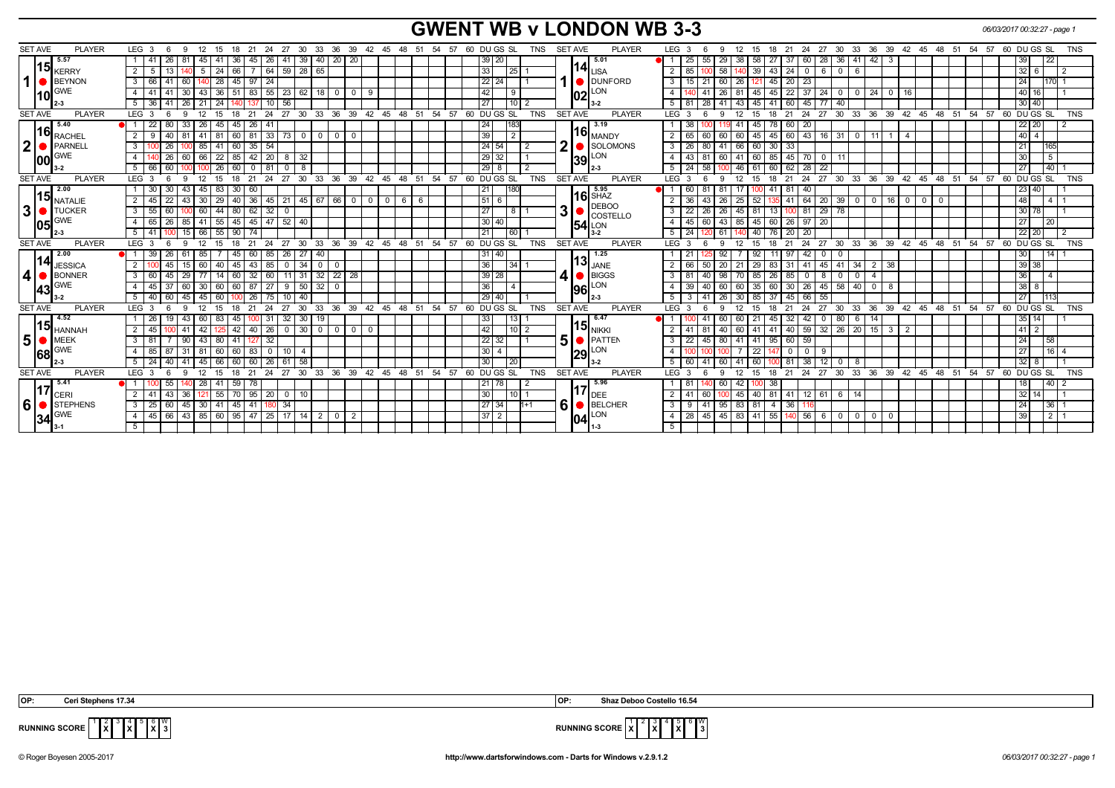# **GWENT WB v LONDON WB 3-3** *06/03/2017 00:32:27 - page 1*

| <b>PLAYER</b>                   |                                                                  |                                            |                                         |                                                  |                                    |                                                                                                                                                                                                                                    | <b>TNS</b> |
|---------------------------------|------------------------------------------------------------------|--------------------------------------------|-----------------------------------------|--------------------------------------------------|------------------------------------|------------------------------------------------------------------------------------------------------------------------------------------------------------------------------------------------------------------------------------|------------|
| <b>SET AVE</b>                  | LEG <sub>3</sub><br>- 6<br>-9<br>12 15<br>- 18                   | 21 24<br>27<br>30 33                       |                                         | 36 39 42 45 48 51 54 57 60 DUGS SL<br>TNS        | <b>SET AVE</b><br><b>PLAYER</b>    | 27 30 33 36 39 42 45 48 51 54 57 60 DU GS SL<br>LEG <sub>3</sub><br>18 21 24<br>12<br>- 15<br>- 6<br>-9                                                                                                                            |            |
| 5.57<br> 15                     | 26<br>1   41<br>45<br>36                                         | 39<br>40 20<br>45<br>26 I<br>l 41          | 20                                      | $39$ 20                                          | 15.01<br>$114$ <sub>LISA</sub>     | 25 <sub>1</sub><br>55<br>29<br>38<br>58<br>27<br>37<br>60<br>28<br> 36 <br>41<br>$42 \mid 3$<br>39<br>$\overline{22}$                                                                                                              |            |
| <b>KERRY</b>                    | 2 <sup>1</sup><br>5<br>24<br>66<br>5                             | $64$ 59 $28$<br>65                         |                                         | 33<br>25                                         |                                    | $\overline{2}$<br>58<br>39<br>43<br>24<br>$32 \mid 6$<br>85<br>$\overline{0}$<br>6<br>$\overline{\phantom{0}}$<br>6                                                                                                                |            |
| $1$ $\bullet$<br>BEYNON         | 66<br>28<br>$45$   97<br>60                                      | 24                                         |                                         | 22 24                                            | <b>DUNFORD</b>                     | 60<br>45<br>$20 \mid 23$<br>24  <br>3<br>15 <sub>1</sub><br>21<br>26 I<br>170                                                                                                                                                      |            |
| <b>GWE</b><br> 10               | 41<br>43<br>$36$ 51 83<br>30                                     | $55$   23   62<br>18 0                     | $\mathbf{0}$<br>-9                      | 42<br>9                                          | $\textsf{I}02\vert^\textsf{LON}$   | 26<br>$22$ 37<br>40 16<br>45<br>24<br>$0 \mid 24$<br>$\overline{4}$<br>81<br>45<br>41<br>$\begin{array}{c} 1 & 0 \end{array}$<br>$\overline{\mathbf{0}}$<br>16                                                                     |            |
|                                 | 36<br>26<br>21<br>-24                                            | $10$ 56<br>13.                             |                                         | 10<br>27                                         |                                    | $\overline{77}$<br>$30 \mid 40$<br>5<br>28<br>41<br>41<br>60<br>45<br>40<br>81<br>43 I<br>45                                                                                                                                       |            |
| <b>SET AVE</b><br><b>PLAYER</b> | LEG <sub>3</sub><br>12<br>15<br>-18                              | 24<br>33 36 39<br>21<br>27<br>$30^{\circ}$ | $42^{\circ}$<br>45 48 51                | 60 DU GS SL<br>54<br>57<br><b>TNS</b>            | <b>SET AVE</b><br><b>PLAYER</b>    | $^{\circ}$ 24<br>$^{\circ}$ 27<br>33 36<br>39 42 45 48 51 54<br>57<br>DU GS SL<br>LEG <sup>®</sup><br>21<br>$30^{\circ}$<br>60<br>12<br>15<br>18<br>- 3                                                                            | <b>TNS</b> |
| 5.40<br> 16                     | 22<br>80 I<br>l 33<br>26 I<br>45   45   26                       | -41                                        |                                         | 183<br>24                                        | ▌ 3.19                             | 38 <sup>1</sup><br>78<br>$60$   20<br>22 20<br>41   45                                                                                                                                                                             |            |
| <b>RACHEL</b>                   | 9<br>$41$ 81<br>2 <sup>1</sup><br>40<br>81                       | 60 81 33 73 0<br>$0$ 0                     | $\cdot$ 0 $\cdot$                       | $\overline{2}$<br>39                             | $116$ $_{\rm MANDY}$               | 60   43   16   31   0   11   1  <br>$40 \mid 4 \mid$<br>60<br>60 45<br>45<br>2<br>65 I<br>60<br>$\overline{4}$                                                                                                                     |            |
| 2 <sup>1</sup><br>PARNEL        | $60 \mid 35$<br>3 <sup>1</sup><br>26<br>85<br>-41                | 54                                         |                                         | 24 54                                            | SOLOMONS                           | $26 \mid 80$<br>41 66 60 30 33<br>21 <sup>1</sup><br>3                                                                                                                                                                             |            |
| <b>GWE</b><br>lool              | 26<br>60 66 22 85 42 20 8 32                                     |                                            |                                         | 29 32                                            | $39$ <sup>LON</sup> <sub>2-3</sub> | $\overline{5}$<br>$\overline{4}$<br>$43 \mid 81$<br>60 41 60 85 45 70 0<br>30 <sup>1</sup><br>l 11                                                                                                                                 |            |
| $3 - 2$                         | 60<br>$26   60   0$<br>$5 \mid 66$<br>1001                       | $81$ 0 8                                   |                                         | $29$ 8                                           |                                    | $24 \mid 58$<br>60<br>$62$   28  <br>$\overline{22}$<br>27<br>$\overline{140}$<br>5<br>$46 \mid 61$                                                                                                                                |            |
| <b>SET AVE</b><br><b>PLAYER</b> | 12<br>LEG 3<br>6<br>15<br>18<br>9                                | 24<br>27<br>30<br>33<br>36<br>21           | 39<br>$42^{\circ}$<br>$-45$<br>48<br>51 | DU GS SL<br>54<br><b>TNS</b><br>57<br>60         | <b>SET AVE</b><br><b>PLAYER</b>    | 27<br>60 DU GS SL<br>12<br>21<br>24<br>36<br>39<br>54<br>LEG 3<br>15<br>30<br>$33^\circ$<br>42 45 48 51<br>57<br>6                                                                                                                 | TNS        |
| 2.00                            | $45 \mid 83 \mid$<br>1 30<br> 30 60<br>30<br>43                  |                                            |                                         | 180<br> 21                                       | 5.95                               | 23 40<br>60 I<br>-81<br>-81<br>41<br>-81<br>$\blacksquare$<br>40                                                                                                                                                                   |            |
| 15 <br><b>NATALIE</b>           | 45<br>30<br>$29 \mid 40 \mid 36$<br>2 <sup>1</sup><br>22<br>43 I | 45 21 45 67 66 0                           | $6 \mid 6$<br>$^{\circ}$<br>$\circ$ 1   | 51<br>6                                          | <b>16</b> SHAZ                     | 48<br>$\overline{2}$<br>26<br>$41 \mid 64 \mid 20 \mid 39 \mid 0 \mid 0 \mid 16 \mid 0 \mid 0$<br>$\begin{array}{c c c c c} \hline \textbf{1} & 4 & 1 \end{array}$<br>36 <sup>1</sup><br>43<br>$\sqrt{25}$<br>52<br>$\overline{0}$ |            |
| 3 <sup>1</sup><br><b>TUCKER</b> | 60<br>$44 \mid 80 \mid 62$<br>55<br>60<br>3 <sup>1</sup>         | $32$ 0                                     |                                         | 27<br>$\overline{8}$                             | <b>DEBOO</b><br>3<br>COSTELLO      | $29$ 78<br>26<br>26<br>13<br>30 78<br>3<br>221<br>$45 \mid 81$<br>$100$ 81                                                                                                                                                         |            |
| <b>GWE</b><br>105               | 41<br>$55 \mid 45 \mid 45$<br>4   65  <br>26<br>85               | $47$ 52 40                                 |                                         | 30 40                                            | 54 LON                             | $\overline{4}$<br>$-45$<br> 43 85 45<br>$26 \mid 97$<br>27<br>$\overline{20}$<br>60<br>60<br>20                                                                                                                                    |            |
| $2 - 3$                         | 66<br>$55$ 90 74<br>$5 \mid 41$<br>15                            |                                            |                                         | 21<br>$\overline{60}$                            | " 3-2                              | $\overline{24}$<br>$20 \mid 20$<br>22 20<br>5<br>120 61<br>40<br>76                                                                                                                                                                |            |
| <b>SET AVE</b><br><b>PLAYER</b> | LEG <sup>3</sup><br>12<br>- 6<br>9<br>15<br>18                   | 21<br>24<br>27 30                          | 33 36 39 42 45 48 51 54 57              | 60 DUGS SL<br><b>TNS</b>                         | <b>SET AVE</b><br><b>PLAYER</b>    | 27<br>30 33 36 39 42 45 48 51 54 57 60 DUGS SL<br>LEG 3<br>12<br>24<br>9<br>15<br>18<br>21<br>-6                                                                                                                                   | <b>TNS</b> |
| 2.00                            | 39<br>85<br>26<br>45 60                                          | $85$   26   27<br>40                       |                                         | 31 40                                            | 1.25                               | 92<br>92<br>11<br>97<br>42<br>$\overline{1141}$<br>21<br>30<br>$\mathbf 0$<br>0                                                                                                                                                    |            |
| 14 <br><b>JESSICA</b>           | $\overline{2}$<br>60<br>$40$ 45 43<br>45<br>15 I                 | $85$ 0 34<br>$0$   0                       |                                         | 36<br> 34                                        | $\textsf{13}\vert_\textsf{JANE}$   | 39 38<br>20<br>$21 \mid 29$<br>83<br>45 41 34<br>50<br>31   41<br>38<br>66<br>2                                                                                                                                                    |            |
| 4   BONNER                      | $\overline{77}$<br>$60$ 32<br>60<br>29<br>14<br>3 I<br>45        | $60$   11   31<br>$32$ 22 28               |                                         | $39$ 28                                          | BIGGS                              | 36<br>98<br>26<br>3<br>40<br>70 85<br>85<br>$\overline{4}$<br>81<br>$\overline{0}$<br>8<br>0 <sup>1</sup><br>$^{\circ}$<br>$\overline{4}$                                                                                          |            |
| <b>GWE</b><br>43                | 60   60   87<br>45<br>30<br>37<br>60                             | 27   9   50<br>$32$ 0                      |                                         | 36<br>$\overline{4}$                             | 96 LON                             | 60<br>60<br> 60 35<br>30 26 45 58<br>$40$ 0<br>$38 \mid 8 \mid$<br>39 <sup>1</sup><br>40<br>8                                                                                                                                      |            |
|                                 | 45<br>40<br>60<br>60                                             | 26<br>40<br>75   10                        |                                         | 29 40                                            | 12-3                               | 26<br>37<br>55<br>5<br>30 <sub>1</sub><br>85<br>$45 \mid 66$<br>27<br>1113                                                                                                                                                         |            |
| <b>SET AVE</b><br><b>PLAYER</b> | 12<br>LEG <sup>3</sup><br>- 6<br>15<br>18<br>9                   | 24<br>27<br>30<br>$33^\circ$<br>21         |                                         | 36 39 42 45 48 51 54 57 60 DUGS SL<br><b>TNS</b> | <b>SET AVE</b><br><b>PLAYER</b>    | 27<br>36 39 42 45 48 51 54 57 60 DUGS SL<br>$LEG^{\cdot}$ 3<br>$\cdot$ 24<br>30<br>$33^\circ$<br>6<br>9<br>12<br>15<br>18<br>21                                                                                                    | <b>TNS</b> |
| 4.52                            | 26<br>60<br>83<br>43<br>45 l                                     | $31 \mid 32 \mid 30$<br>19<br>100          |                                         | 33<br>13                                         | 6.47                               | 60<br>60 I<br>$\overline{21}$<br>32<br>42<br>80<br>35 14 <br>41<br>45<br>$\mathbf 0$<br>6<br>14                                                                                                                                    |            |
| $\bm{15}$ HANNAH                | 45<br>42<br>42<br>41                                             | 40<br>$26$ 0 30<br>$0$ 0                   | 0 <sup>1</sup><br>- 0                   | 42<br>10 <sup>1</sup>                            | 15 <sub>NIKKI</sub>                | $32 \mid 26 \mid$<br>60 I<br>40 59 <br>$\overline{20}$<br>$15 \mid 3 \mid$<br>$41$   2<br>40<br>41                                                                                                                                 |            |
| 5 <br>$\bullet$ MEEK            | 43<br>$3 \mid 81$<br>80<br>41                                    | 32<br>127                                  |                                         | 22<br>32                                         | 5<br>PATTEM                        | 80<br>95<br>$60$ 59<br>$\overline{58}$<br>45<br>$41$   41<br>24 <sub>1</sub><br>3<br>22                                                                                                                                            |            |
| <b>GWE</b><br>68                | 85<br>60 83<br>81<br>60                                          | 0 1 1 0 1 4                                |                                         | $30 \mid 4$                                      | $\left 29\right ^{LON}$            | $116$ 4<br>$\overline{22}$<br>27 <sup>1</sup><br>$\overline{4}$<br>0 <sup>1</sup><br>$\mathbf{0}$<br>-9                                                                                                                            |            |
| l 2-3                           | 45<br>24<br>66<br>5 <sup>1</sup>                                 | $26$ 61 58<br>60                           |                                         | 30<br> 20                                        | 3-2                                | 38<br>12<br>$32 \mid 8$<br>5<br>60<br>60 I<br>41<br>-81<br>$\overline{\mathbf{0}}$<br>8                                                                                                                                            |            |
| <b>SET AVE</b><br><b>PLAYER</b> | LEG <sub>3</sub>                                                 | 36<br>27<br>30<br>33<br>24                 | 39<br>$42$ 45 48 51                     | 60 DUGS SL<br><b>TNS</b><br>54<br>57             | <b>SET AVE</b><br><b>PLAYER</b>    | 36<br>39<br>LEG <sup>'</sup><br>27<br>30<br>33<br>42 45 48<br>54<br>57<br>60 DU GS SL<br>-24<br>51                                                                                                                                 | <b>TNS</b> |
| 5.41                            | 55<br>28                                                         | 78                                         |                                         | 78                                               | 5.96                               | $\overline{140}$<br>60<br>42 <br>38<br>18                                                                                                                                                                                          |            |
| 17<br>CERI                      | 2 <sup>1</sup><br>41<br>36<br>55<br>43<br>121                    | 95<br>20<br>10<br>$\mathbf 0$              |                                         | 30<br>10                                         | DEE                                | 81<br>$41$ 12 61<br>$32 \mid 14 \mid$<br>$\overline{2}$<br>60<br>45 I<br>40<br>6 <sup>1</sup><br>14                                                                                                                                |            |
| <b>6</b><br>STEPHENS            | 25<br>30<br>41<br>$45 \mid 41$<br>60<br>45                       | -34                                        |                                         | 27 34<br>$1 + 1$                                 | 6<br>BELCHER                       | 36<br> 36 <br>95<br>83   81<br>$\overline{4}$<br>24  <br>3<br>9                                                                                                                                                                    |            |
| <b>GWE</b><br> 34               | 45<br>66 43<br>85 60 95 47                                       | $25$ 17 14<br>$2$ 0                        | $\overline{2}$                          | $37$   2                                         | 04 LON                             | 55<br>140 56<br>1211<br>$\overline{28}$<br>45<br>45<br>83 41<br>39<br>$\overline{4}$<br>6<br>$\overline{\circ}$<br>l 0 l<br>$\mathbf 0$<br>$\mathbf{0}$                                                                            |            |
|                                 |                                                                  |                                            |                                         |                                                  |                                    | 5                                                                                                                                                                                                                                  |            |
|                                 |                                                                  |                                            |                                         |                                                  |                                    |                                                                                                                                                                                                                                    |            |

 **OP: Ceri Stephens 17.34 OP: Shaz Deboo Costello 16.54**

 $\sqrt[12]{x}$  $\frac{3}{x}$   $\begin{bmatrix} 5 \\ \text{X} \end{bmatrix}$   $\begin{bmatrix} 0 \\ 3 \end{bmatrix}$ 



**RUNNING SCORE**